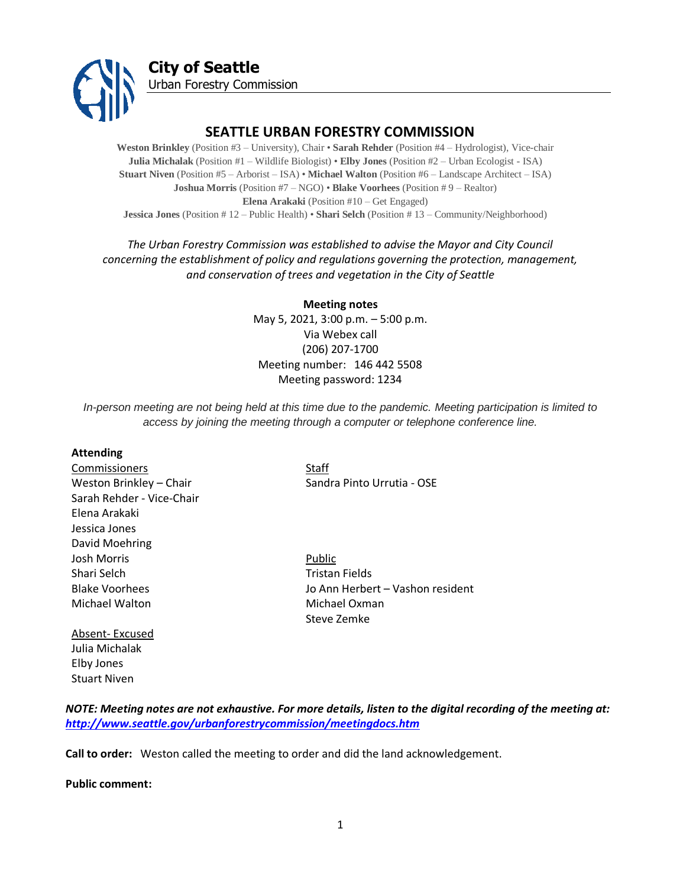

# **SEATTLE URBAN FORESTRY COMMISSION**

**Weston Brinkley** (Position #3 – University), Chair • **Sarah Rehder** (Position #4 – Hydrologist), Vice-chair **Julia Michalak** (Position #1 – Wildlife Biologist) • **Elby Jones** (Position #2 – Urban Ecologist - ISA) **Stuart Niven** (Position #5 – Arborist – ISA) • **Michael Walton** (Position #6 – Landscape Architect – ISA) **Joshua Morris** (Position #7 – NGO) • **Blake Voorhees** (Position # 9 – Realtor) **Elena Arakaki** (Position #10 – Get Engaged) **Jessica Jones** (Position # 12 – Public Health) • **Shari Selch** (Position # 13 – Community/Neighborhood)

# *The Urban Forestry Commission was established to advise the Mayor and City Council concerning the establishment of policy and regulations governing the protection, management, and conservation of trees and vegetation in the City of Seattle*

**Meeting notes** May 5, 2021, 3:00 p.m. – 5:00 p.m. Via Webex call (206) 207-1700 Meeting number: 146 442 5508 Meeting password: 1234

*In-person meeting are not being held at this time due to the pandemic. Meeting participation is limited to access by joining the meeting through a computer or telephone conference line.*

#### **Attending**

**Commissioners** Staff Sarah Rehder - Vice-Chair Elena Arakaki Jessica Jones David Moehring Josh Morris **Public** Shari Selch Tristan Fields Michael Walton **Michael Oxman** 

Weston Brinkley – Chair Sandra Pinto Urrutia - OSE

Blake Voorhees Jo Ann Herbert – Vashon resident Steve Zemke

# Absent- Excused Julia Michalak Elby Jones Stuart Niven

*NOTE: Meeting notes are not exhaustive. For more details, listen to the digital recording of the meeting at: <http://www.seattle.gov/urbanforestrycommission/meetingdocs.htm>*

**Call to order:** Weston called the meeting to order and did the land acknowledgement.

**Public comment:**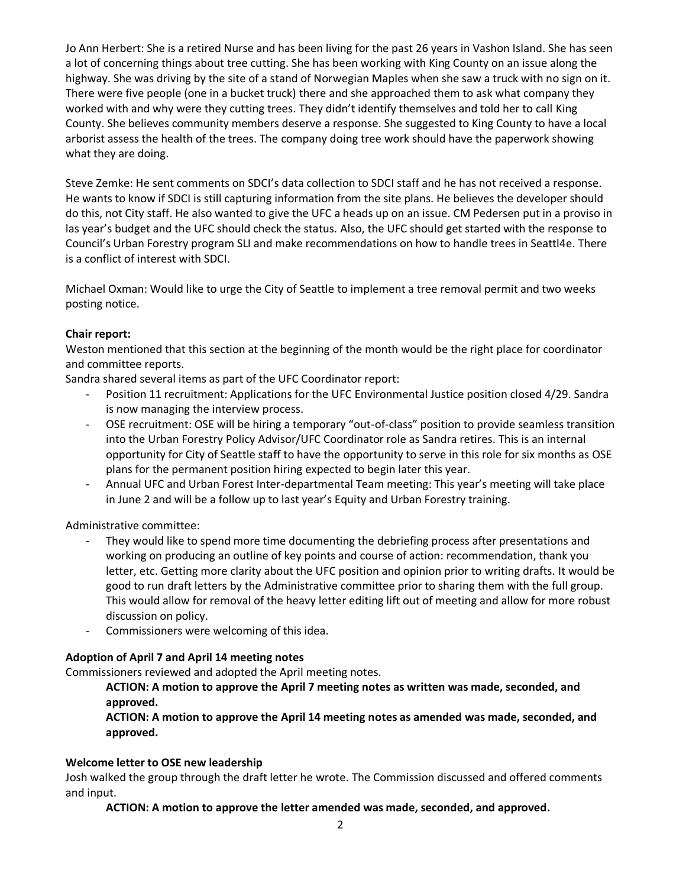Jo Ann Herbert: She is a retired Nurse and has been living for the past 26 years in Vashon Island. She has seen a lot of concerning things about tree cutting. She has been working with King County on an issue along the highway. She was driving by the site of a stand of Norwegian Maples when she saw a truck with no sign on it. There were five people (one in a bucket truck) there and she approached them to ask what company they worked with and why were they cutting trees. They didn't identify themselves and told her to call King County. She believes community members deserve a response. She suggested to King County to have a local arborist assess the health of the trees. The company doing tree work should have the paperwork showing what they are doing.

Steve Zemke: He sent comments on SDCI's data collection to SDCI staff and he has not received a response. He wants to know if SDCI is still capturing information from the site plans. He believes the developer should do this, not City staff. He also wanted to give the UFC a heads up on an issue. CM Pedersen put in a proviso in las year's budget and the UFC should check the status. Also, the UFC should get started with the response to Council's Urban Forestry program SLI and make recommendations on how to handle trees in Seattl4e. There is a conflict of interest with SDCI.

Michael Oxman: Would like to urge the City of Seattle to implement a tree removal permit and two weeks posting notice.

## **Chair report:**

Weston mentioned that this section at the beginning of the month would be the right place for coordinator and committee reports.

Sandra shared several items as part of the UFC Coordinator report:

- Position 11 recruitment: Applications for the UFC Environmental Justice position closed 4/29. Sandra is now managing the interview process.
- OSE recruitment: OSE will be hiring a temporary "out-of-class" position to provide seamless transition into the Urban Forestry Policy Advisor/UFC Coordinator role as Sandra retires. This is an internal opportunity for City of Seattle staff to have the opportunity to serve in this role for six months as OSE plans for the permanent position hiring expected to begin later this year.
- Annual UFC and Urban Forest Inter-departmental Team meeting: This year's meeting will take place in June 2 and will be a follow up to last year's Equity and Urban Forestry training.

Administrative committee:

- They would like to spend more time documenting the debriefing process after presentations and working on producing an outline of key points and course of action: recommendation, thank you letter, etc. Getting more clarity about the UFC position and opinion prior to writing drafts. It would be good to run draft letters by the Administrative committee prior to sharing them with the full group. This would allow for removal of the heavy letter editing lift out of meeting and allow for more robust discussion on policy.
- Commissioners were welcoming of this idea.

## **Adoption of April 7 and April 14 meeting notes**

Commissioners reviewed and adopted the April meeting notes.

**ACTION: A motion to approve the April 7 meeting notes as written was made, seconded, and approved.** 

**ACTION: A motion to approve the April 14 meeting notes as amended was made, seconded, and approved.** 

## **Welcome letter to OSE new leadership**

Josh walked the group through the draft letter he wrote. The Commission discussed and offered comments and input.

**ACTION: A motion to approve the letter amended was made, seconded, and approved.**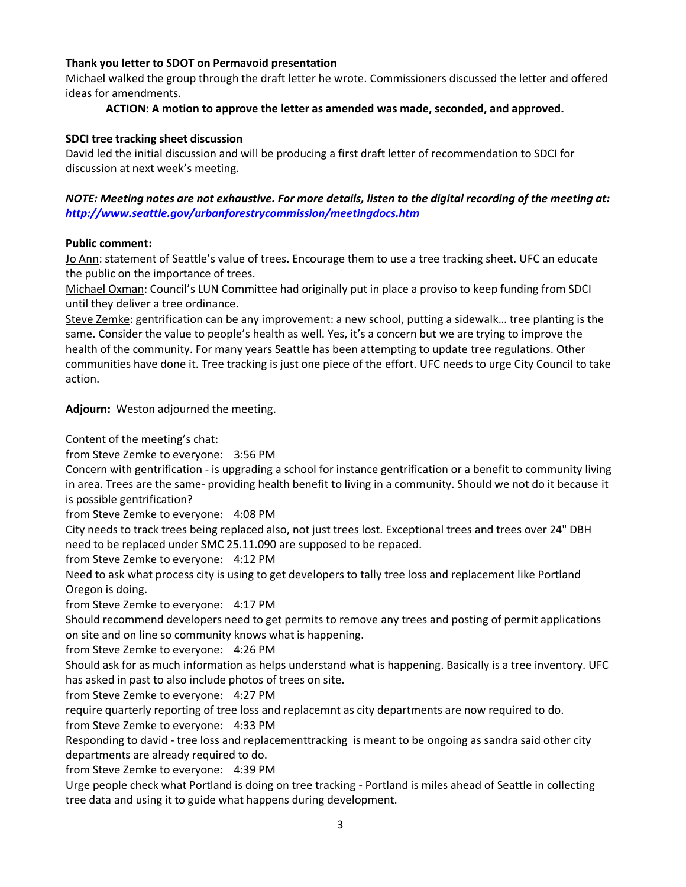## **Thank you letter to SDOT on Permavoid presentation**

Michael walked the group through the draft letter he wrote. Commissioners discussed the letter and offered ideas for amendments.

# **ACTION: A motion to approve the letter as amended was made, seconded, and approved.**

## **SDCI tree tracking sheet discussion**

David led the initial discussion and will be producing a first draft letter of recommendation to SDCI for discussion at next week's meeting.

# *NOTE: Meeting notes are not exhaustive. For more details, listen to the digital recording of the meeting at: <http://www.seattle.gov/urbanforestrycommission/meetingdocs.htm>*

## **Public comment:**

Jo Ann: statement of Seattle's value of trees. Encourage them to use a tree tracking sheet. UFC an educate the public on the importance of trees.

Michael Oxman: Council's LUN Committee had originally put in place a proviso to keep funding from SDCI until they deliver a tree ordinance.

Steve Zemke: gentrification can be any improvement: a new school, putting a sidewalk… tree planting is the same. Consider the value to people's health as well. Yes, it's a concern but we are trying to improve the health of the community. For many years Seattle has been attempting to update tree regulations. Other communities have done it. Tree tracking is just one piece of the effort. UFC needs to urge City Council to take action.

**Adjourn:** Weston adjourned the meeting.

Content of the meeting's chat:

from Steve Zemke to everyone: 3:56 PM

Concern with gentrification - is upgrading a school for instance gentrification or a benefit to community living in area. Trees are the same- providing health benefit to living in a community. Should we not do it because it is possible gentrification?

from Steve Zemke to everyone: 4:08 PM

City needs to track trees being replaced also, not just trees lost. Exceptional trees and trees over 24" DBH need to be replaced under SMC 25.11.090 are supposed to be repaced.

from Steve Zemke to everyone: 4:12 PM

Need to ask what process city is using to get developers to tally tree loss and replacement like Portland Oregon is doing.

from Steve Zemke to everyone: 4:17 PM

Should recommend developers need to get permits to remove any trees and posting of permit applications on site and on line so community knows what is happening.

from Steve Zemke to everyone: 4:26 PM

Should ask for as much information as helps understand what is happening. Basically is a tree inventory. UFC has asked in past to also include photos of trees on site.

from Steve Zemke to everyone: 4:27 PM

require quarterly reporting of tree loss and replacemnt as city departments are now required to do.

from Steve Zemke to everyone: 4:33 PM

Responding to david - tree loss and replacementtracking is meant to be ongoing as sandra said other city departments are already required to do.

from Steve Zemke to everyone: 4:39 PM

Urge people check what Portland is doing on tree tracking - Portland is miles ahead of Seattle in collecting tree data and using it to guide what happens during development.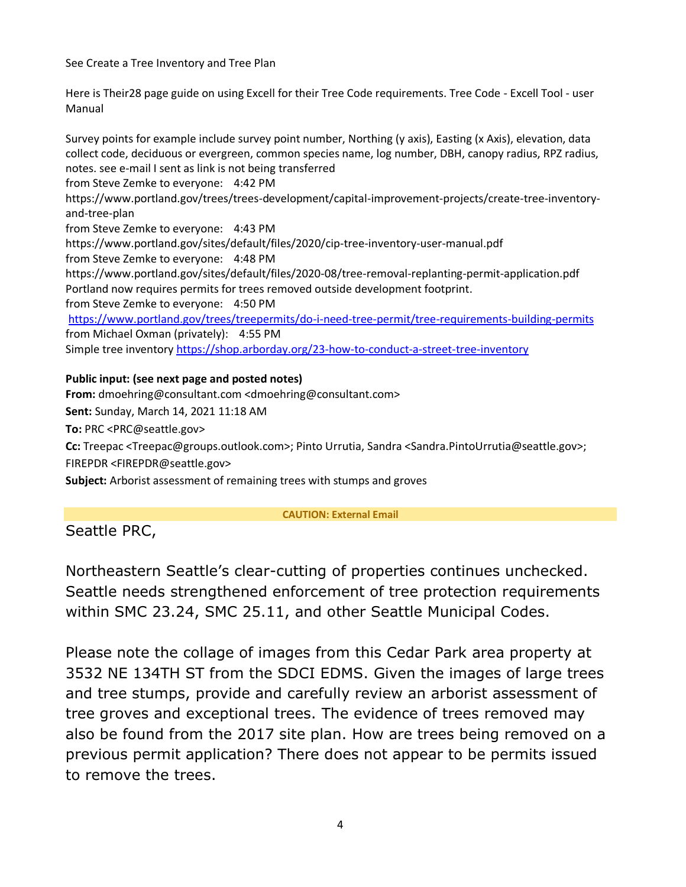See Create a Tree Inventory and Tree Plan

Here is Their28 page guide on using Excell for their Tree Code requirements. Tree Code - Excell Tool - user Manual

Survey points for example include survey point number, Northing (y axis), Easting (x Axis), elevation, data collect code, deciduous or evergreen, common species name, log number, DBH, canopy radius, RPZ radius, notes. see e-mail I sent as link is not being transferred from Steve Zemke to everyone: 4:42 PM https://www.portland.gov/trees/trees-development/capital-improvement-projects/create-tree-inventoryand-tree-plan from Steve Zemke to everyone: 4:43 PM https://www.portland.gov/sites/default/files/2020/cip-tree-inventory-user-manual.pdf from Steve Zemke to everyone: 4:48 PM https://www.portland.gov/sites/default/files/2020-08/tree-removal-replanting-permit-application.pdf Portland now requires permits for trees removed outside development footprint. from Steve Zemke to everyone: 4:50 PM <https://www.portland.gov/trees/treepermits/do-i-need-tree-permit/tree-requirements-building-permits> from Michael Oxman (privately): 4:55 PM Simple tree inventory<https://shop.arborday.org/23-how-to-conduct-a-street-tree-inventory>

# **Public input: (see next page and posted notes)**

**From:** dmoehring@consultant.com <dmoehring@consultant.com>

**Sent:** Sunday, March 14, 2021 11:18 AM

**To:** PRC <PRC@seattle.gov>

**Cc:** Treepac <Treepac@groups.outlook.com>; Pinto Urrutia, Sandra <Sandra.PintoUrrutia@seattle.gov>; FIREPDR <FIREPDR@seattle.gov>

**Subject:** Arborist assessment of remaining trees with stumps and groves

## **CAUTION: External Email**

Seattle PRC,

Northeastern Seattle's clear-cutting of properties continues unchecked. Seattle needs strengthened enforcement of tree protection requirements within SMC 23.24, SMC 25.11, and other Seattle Municipal Codes.

Please note the collage of images from this Cedar Park area property at 3532 NE 134TH ST from the SDCI EDMS. Given the images of large trees and tree stumps, provide and carefully review an arborist assessment of tree groves and exceptional trees. The evidence of trees removed may also be found from the 2017 site plan. How are trees being removed on a previous permit application? There does not appear to be permits issued to remove the trees.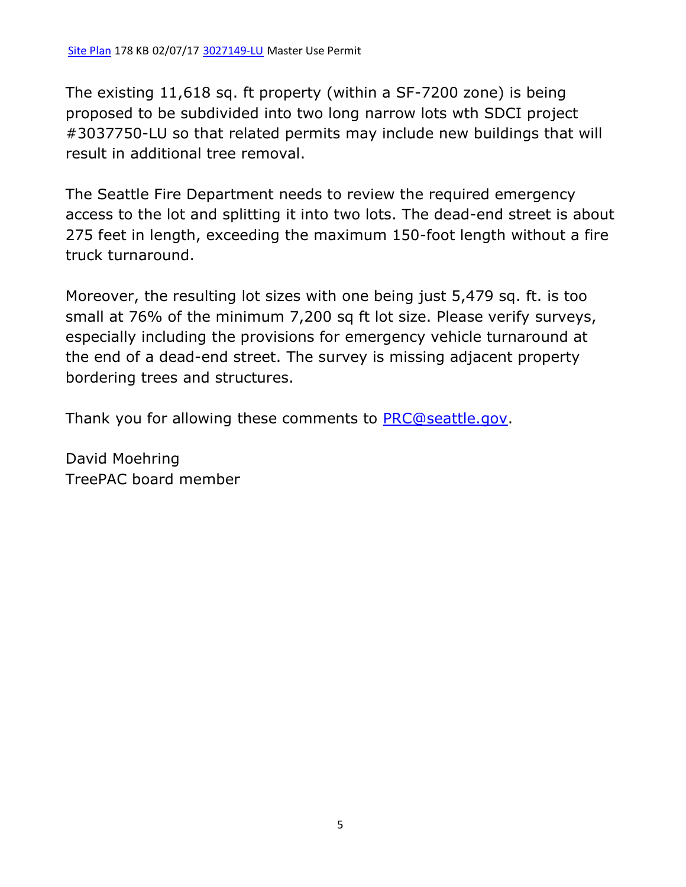The existing 11,618 sq. ft property (within a SF-7200 zone) is being proposed to be subdivided into two long narrow lots wth SDCI project #3037750-LU so that related permits may include new buildings that will result in additional tree removal.

The Seattle Fire Department needs to review the required emergency access to the lot and splitting it into two lots. The dead-end street is about 275 feet in length, exceeding the maximum 150-foot length without a fire truck turnaround.

Moreover, the resulting lot sizes with one being just 5,479 sq. ft. is too small at 76% of the minimum 7,200 sq ft lot size. Please verify surveys, especially including the provisions for emergency vehicle turnaround at the end of a dead-end street. The survey is missing adjacent property bordering trees and structures.

Thank you for allowing these comments to [PRC@seattle.gov.](mailto:PRC@seattle.gov)

David Moehring TreePAC board member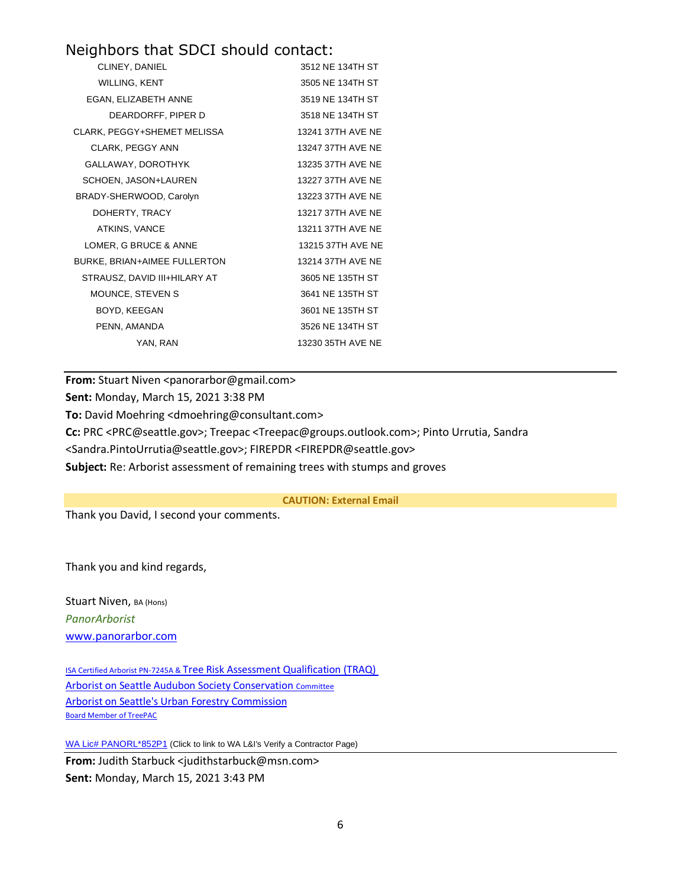# Neighbors that SDCI should contact:

| CLINEY, DANIEL               | 3512 NE 134TH ST  |
|------------------------------|-------------------|
| <b>WILLING, KENT</b>         | 3505 NE 134TH ST  |
| EGAN, ELIZABETH ANNE         | 3519 NE 134TH ST  |
| DEARDORFF, PIPER D           | 3518 NE 134TH ST  |
| CLARK, PEGGY+SHEMET MELISSA  | 13241 37TH AVF NF |
| CLARK, PEGGY ANN             | 13247 37TH AVE NE |
| GALLAWAY, DOROTHYK           | 13235 37TH AVE NE |
| SCHOEN, JASON+LAUREN         | 13227 37TH AVE NE |
| BRADY-SHERWOOD, Carolyn      | 13223 37TH AVE NE |
| DOHERTY, TRACY               | 13217 37TH AVE NE |
| ATKINS, VANCE                | 13211 37TH AVE NE |
| LOMER, G BRUCE & ANNE        | 13215 37TH AVE NE |
| BURKE, BRIAN+AIMEE FULLERTON | 13214 37TH AVF NF |
| STRAUSZ, DAVID III+HILARY AT | 3605 NE 135TH ST  |
| <b>MOUNCE, STEVEN S</b>      | 3641 NE 135TH ST  |
| BOYD, KEEGAN                 | 3601 NE 135TH ST  |
| PENN, AMANDA                 | 3526 NE 134TH ST  |
| YAN, RAN                     | 13230 35TH AVE NE |

**From:** Stuart Niven <panorarbor@gmail.com> **Sent:** Monday, March 15, 2021 3:38 PM **To:** David Moehring <dmoehring@consultant.com> **Cc:** PRC <PRC@seattle.gov>; Treepac <Treepac@groups.outlook.com>; Pinto Urrutia, Sandra <Sandra.PintoUrrutia@seattle.gov>; FIREPDR <FIREPDR@seattle.gov> **Subject:** Re: Arborist assessment of remaining trees with stumps and groves

**CAUTION: External Email**

Thank you David, I second your comments.

Thank you and kind regards,

Stuart Niven, BA (Hons) *PanorArborist* [www.panorarbor.com](https://protect2.fireeye.com/v1/url?k=bb9bc271-e400fb43-bb9beac1-8697e44c76c2-6713fea5a8fd3dff&q=1&e=9763fd6f-aba2-47db-8fa0-d1344ac0f2a9&u=http%3A%2F%2Fwww.panorarbor.com%2F)

ISA Certified Arborist PN-7245A & [Tree Risk Assessment Qualification \(TRAQ\)](https://protect2.fireeye.com/v1/url?k=df74d2d8-80efebea-df74fa68-8697e44c76c2-6939adc16490f681&q=1&e=9763fd6f-aba2-47db-8fa0-d1344ac0f2a9&u=https%3A%2F%2Fwww.treesaregood.org%2Ffindanarborist%2Fverify) [Arborist on Seattle Audubon Society Conservation](https://protect2.fireeye.com/v1/url?k=12c8311a-4d530828-12c819aa-8697e44c76c2-cef33bc4f910cade&q=1&e=9763fd6f-aba2-47db-8fa0-d1344ac0f2a9&u=http%3A%2F%2Fwww.seattleaudubon.org%2Fsas%2FAbout%2FConservation%2FArchive%2FAboutOurProgram%2FConservationCommittee.aspx) [Committee](https://protect2.fireeye.com/v1/url?k=12c8311a-4d530828-12c819aa-8697e44c76c2-cef33bc4f910cade&q=1&e=9763fd6f-aba2-47db-8fa0-d1344ac0f2a9&u=http%3A%2F%2Fwww.seattleaudubon.org%2Fsas%2FAbout%2FConservation%2FArchive%2FAboutOurProgram%2FConservationCommittee.aspx) [Arborist on Seattle's Urban Forestry](https://www.seattle.gov/urbanforestrycommission) Commission [Board](https://protect2.fireeye.com/v1/url?k=09572bbe-56cc128c-0957030e-8697e44c76c2-73e05d00b4416501&q=1&e=9763fd6f-aba2-47db-8fa0-d1344ac0f2a9&u=https%3A%2F%2Ftreepac.org%2F) [Member of TreePAC](https://protect2.fireeye.com/v1/url?k=e60d9353-b996aa61-e60dbbe3-8697e44c76c2-d01d0601b9b2f56d&q=1&e=9763fd6f-aba2-47db-8fa0-d1344ac0f2a9&u=https%3A%2F%2Ftreepac.org%2F)

[WA Lic# PANORL\\*852P1](https://secure.lni.wa.gov/verify/Results.aspx#%7B%22firstSearch%22%3A1%2C%22searchCat%22%3A%22Name%22%2C%22searchText%22%3A%22panorarbor%22%2C%22Name%22%3A%22panorarbor%22%2C%22pageNumber%22%3A0%2C%22SearchType%22%3A2%2C%22SortColumn%22%3A%22Rank%22%2C%22SortOrder%22%3A%22desc%22%2C%22pageSize%22%3A1) (Click to link to WA L&I's Verify a Contractor Page)

**From:** Judith Starbuck <judithstarbuck@msn.com> **Sent:** Monday, March 15, 2021 3:43 PM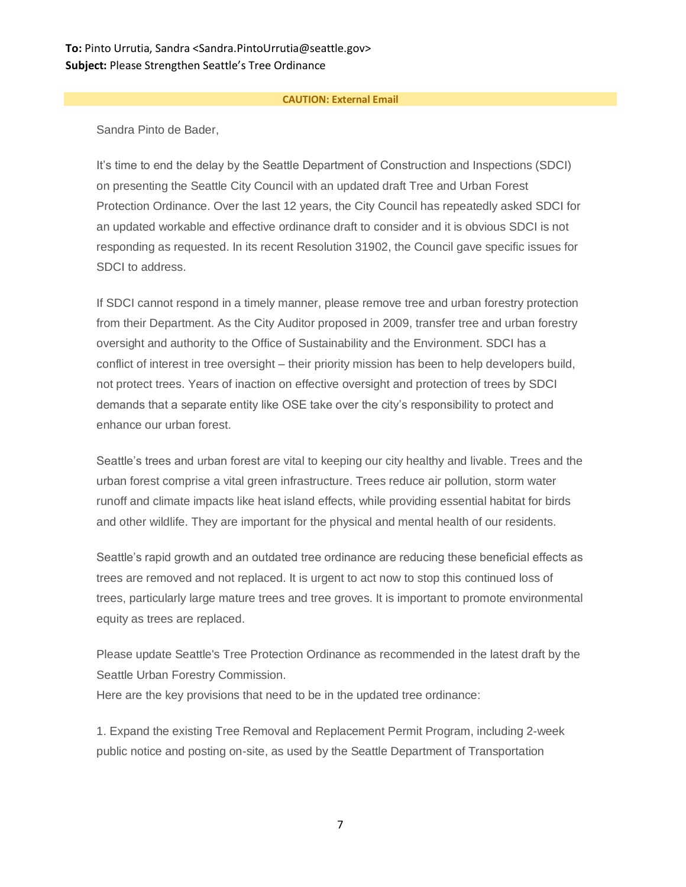# **To:** Pinto Urrutia, Sandra <Sandra.PintoUrrutia@seattle.gov> **Subject:** Please Strengthen Seattle's Tree Ordinance

#### **CAUTION: External Email**

Sandra Pinto de Bader,

It's time to end the delay by the Seattle Department of Construction and Inspections (SDCI) on presenting the Seattle City Council with an updated draft Tree and Urban Forest Protection Ordinance. Over the last 12 years, the City Council has repeatedly asked SDCI for an updated workable and effective ordinance draft to consider and it is obvious SDCI is not responding as requested. In its recent Resolution 31902, the Council gave specific issues for SDCI to address.

If SDCI cannot respond in a timely manner, please remove tree and urban forestry protection from their Department. As the City Auditor proposed in 2009, transfer tree and urban forestry oversight and authority to the Office of Sustainability and the Environment. SDCI has a conflict of interest in tree oversight – their priority mission has been to help developers build, not protect trees. Years of inaction on effective oversight and protection of trees by SDCI demands that a separate entity like OSE take over the city's responsibility to protect and enhance our urban forest.

Seattle's trees and urban forest are vital to keeping our city healthy and livable. Trees and the urban forest comprise a vital green infrastructure. Trees reduce air pollution, storm water runoff and climate impacts like heat island effects, while providing essential habitat for birds and other wildlife. They are important for the physical and mental health of our residents.

Seattle's rapid growth and an outdated tree ordinance are reducing these beneficial effects as trees are removed and not replaced. It is urgent to act now to stop this continued loss of trees, particularly large mature trees and tree groves. It is important to promote environmental equity as trees are replaced.

Please update Seattle's Tree Protection Ordinance as recommended in the latest draft by the Seattle Urban Forestry Commission.

Here are the key provisions that need to be in the updated tree ordinance:

1. Expand the existing Tree Removal and Replacement Permit Program, including 2-week public notice and posting on-site, as used by the Seattle Department of Transportation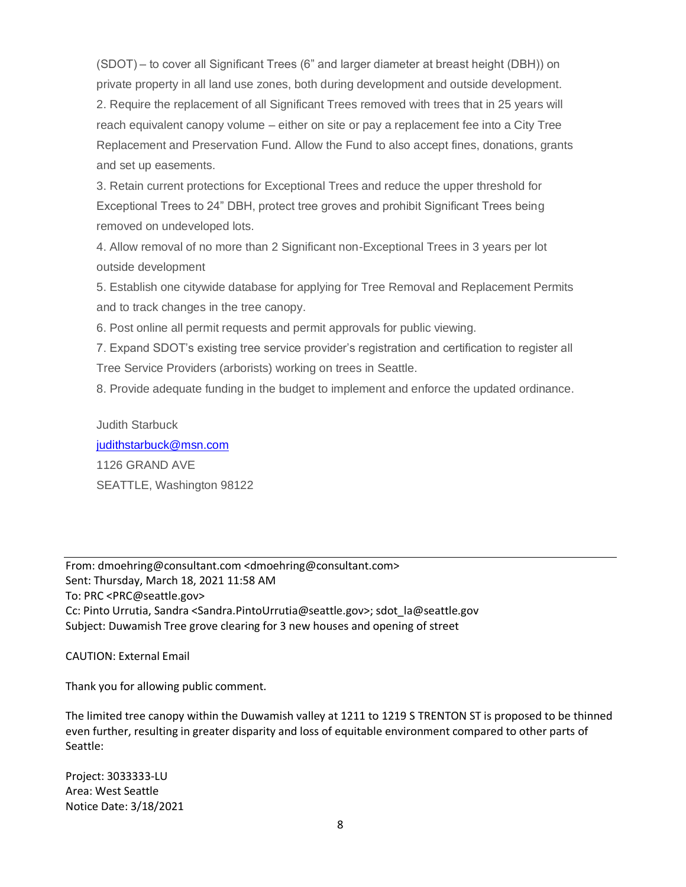(SDOT) – to cover all Significant Trees (6" and larger diameter at breast height (DBH)) on private property in all land use zones, both during development and outside development. 2. Require the replacement of all Significant Trees removed with trees that in 25 years will reach equivalent canopy volume – either on site or pay a replacement fee into a City Tree Replacement and Preservation Fund. Allow the Fund to also accept fines, donations, grants and set up easements.

3. Retain current protections for Exceptional Trees and reduce the upper threshold for Exceptional Trees to 24" DBH, protect tree groves and prohibit Significant Trees being removed on undeveloped lots.

4. Allow removal of no more than 2 Significant non-Exceptional Trees in 3 years per lot outside development

5. Establish one citywide database for applying for Tree Removal and Replacement Permits and to track changes in the tree canopy.

6. Post online all permit requests and permit approvals for public viewing.

7. Expand SDOT's existing tree service provider's registration and certification to register all Tree Service Providers (arborists) working on trees in Seattle.

8. Provide adequate funding in the budget to implement and enforce the updated ordinance.

Judith Starbuck [judithstarbuck@msn.com](mailto:judithstarbuck@msn.com) 1126 GRAND AVE SEATTLE, Washington 98122

From: dmoehring@consultant.com <dmoehring@consultant.com> Sent: Thursday, March 18, 2021 11:58 AM To: PRC <PRC@seattle.gov> Cc: Pinto Urrutia, Sandra <Sandra.PintoUrrutia@seattle.gov>; sdot\_la@seattle.gov Subject: Duwamish Tree grove clearing for 3 new houses and opening of street

CAUTION: External Email

Thank you for allowing public comment.

The limited tree canopy within the Duwamish valley at 1211 to 1219 S TRENTON ST is proposed to be thinned even further, resulting in greater disparity and loss of equitable environment compared to other parts of Seattle:

Project: 3033333-LU Area: West Seattle Notice Date: 3/18/2021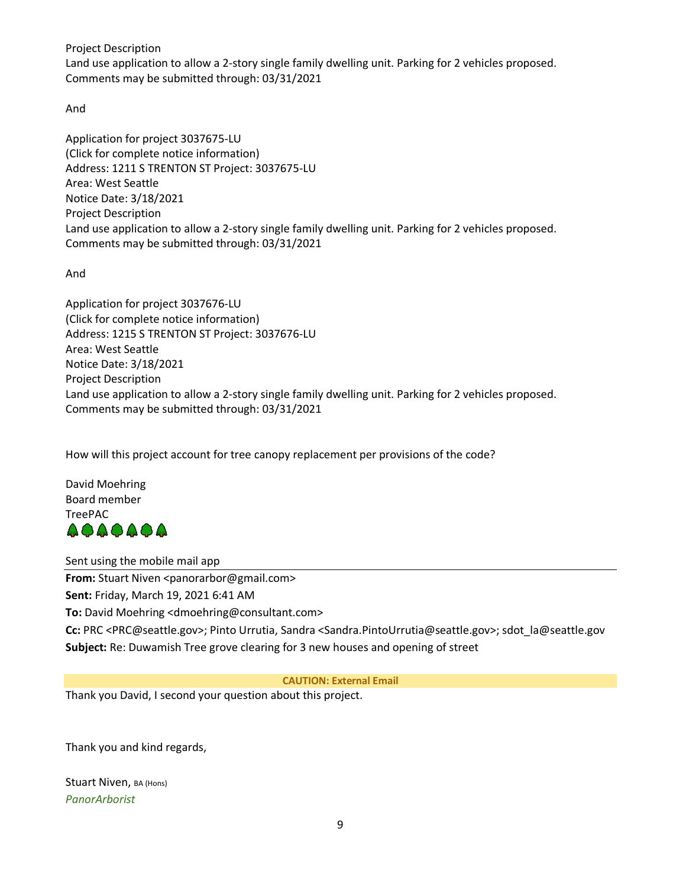Project Description

Land use application to allow a 2-story single family dwelling unit. Parking for 2 vehicles proposed. Comments may be submitted through: 03/31/2021

And

Application for project 3037675-LU (Click for complete notice information) Address: 1211 S TRENTON ST Project: 3037675-LU Area: West Seattle Notice Date: 3/18/2021 Project Description Land use application to allow a 2-story single family dwelling unit. Parking for 2 vehicles proposed. Comments may be submitted through: 03/31/2021

And

Application for project 3037676-LU (Click for complete notice information) Address: 1215 S TRENTON ST Project: 3037676-LU Area: West Seattle Notice Date: 3/18/2021 Project Description Land use application to allow a 2-story single family dwelling unit. Parking for 2 vehicles proposed. Comments may be submitted through: 03/31/2021

How will this project account for tree canopy replacement per provisions of the code?

David Moehring Board member TreePAC 4949494

Sent using the mobile mail app

**From:** Stuart Niven <panorarbor@gmail.com>

**Sent:** Friday, March 19, 2021 6:41 AM

**To:** David Moehring <dmoehring@consultant.com>

**Cc:** PRC <PRC@seattle.gov>; Pinto Urrutia, Sandra <Sandra.PintoUrrutia@seattle.gov>; sdot\_la@seattle.gov **Subject:** Re: Duwamish Tree grove clearing for 3 new houses and opening of street

**CAUTION: External Email**

Thank you David, I second your question about this project.

Thank you and kind regards,

Stuart Niven, BA (Hons) *PanorArborist*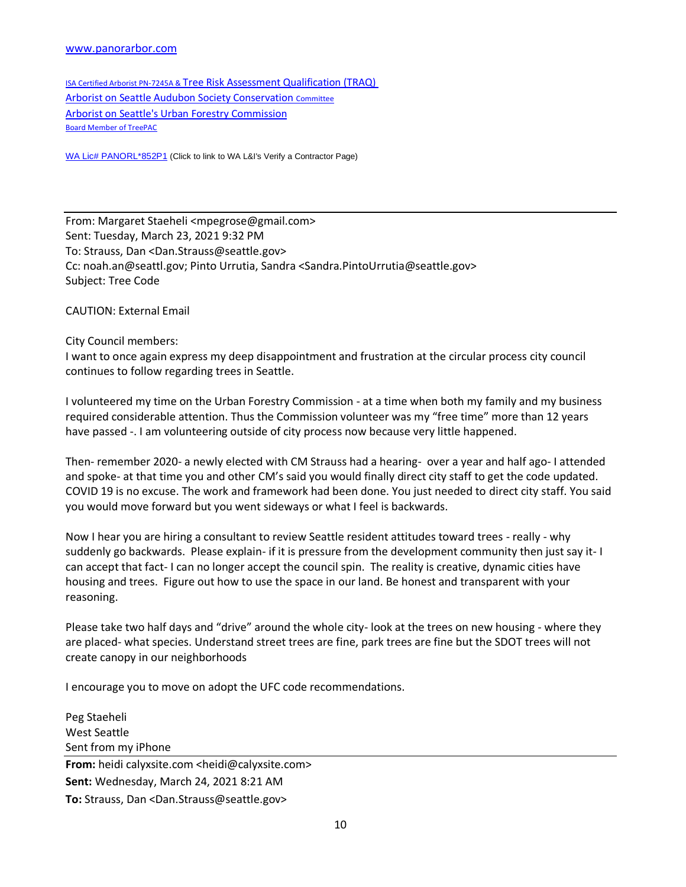#### [www.panorarbor.com](https://protect2.fireeye.com/v1/url?k=06bac189-5921f8af-06bae939-867666c9b37a-e2765288d10f91cd&q=1&e=c1144d05-a433-45d1-9132-3fc4beb2807d&u=http%3A%2F%2Fwww.panorarbor.com%2F)

ISA Certified Arborist PN-7245A & [Tree Risk Assessment Qualification \(TRAQ\)](https://protect2.fireeye.com/v1/url?k=6637eeef-39acd7c9-6637c65f-867666c9b37a-f91997781d60c28f&q=1&e=c1144d05-a433-45d1-9132-3fc4beb2807d&u=https%3A%2F%2Fwww.treesaregood.org%2Ffindanarborist%2Fverify) [Arborist on Seattle Audubon Society Conservation](https://protect2.fireeye.com/v1/url?k=6165d2a1-3efeeb87-6165fa11-867666c9b37a-04b32b4e15f95e23&q=1&e=c1144d05-a433-45d1-9132-3fc4beb2807d&u=http%3A%2F%2Fwww.seattleaudubon.org%2Fsas%2FAbout%2FConservation%2FArchive%2FAboutOurProgram%2FConservationCommittee.aspx) [Committee](https://protect2.fireeye.com/v1/url?k=6165d2a1-3efeeb87-6165fa11-867666c9b37a-04b32b4e15f95e23&q=1&e=c1144d05-a433-45d1-9132-3fc4beb2807d&u=http%3A%2F%2Fwww.seattleaudubon.org%2Fsas%2FAbout%2FConservation%2FArchive%2FAboutOurProgram%2FConservationCommittee.aspx) [Arborist on Seattle's Urban Forestry](https://www.seattle.gov/urbanforestrycommission) Commission [Board](https://protect2.fireeye.com/v1/url?k=050ea02d-5a95990b-050e889d-867666c9b37a-8f5c23dceaea64a3&q=1&e=c1144d05-a433-45d1-9132-3fc4beb2807d&u=https%3A%2F%2Ftreepac.org%2F) Member [of TreePAC](https://protect2.fireeye.com/v1/url?k=1cc9df39-4352e61f-1cc9f789-867666c9b37a-15eea4d57a5790da&q=1&e=c1144d05-a433-45d1-9132-3fc4beb2807d&u=https%3A%2F%2Ftreepac.org%2F)

[WA Lic# PANORL\\*852P1](https://secure.lni.wa.gov/verify/Results.aspx#%7B%22firstSearch%22%3A1%2C%22searchCat%22%3A%22Name%22%2C%22searchText%22%3A%22panorarbor%22%2C%22Name%22%3A%22panorarbor%22%2C%22pageNumber%22%3A0%2C%22SearchType%22%3A2%2C%22SortColumn%22%3A%22Rank%22%2C%22SortOrder%22%3A%22desc%22%2C%22pageSize%22%3A1) (Click to link to WA L&I's Verify a Contractor Page)

From: Margaret Staeheli <mpegrose@gmail.com> Sent: Tuesday, March 23, 2021 9:32 PM To: Strauss, Dan <Dan.Strauss@seattle.gov> Cc: noah.an@seattl.gov; Pinto Urrutia, Sandra <Sandra.PintoUrrutia@seattle.gov> Subject: Tree Code

CAUTION: External Email

City Council members:

I want to once again express my deep disappointment and frustration at the circular process city council continues to follow regarding trees in Seattle.

I volunteered my time on the Urban Forestry Commission - at a time when both my family and my business required considerable attention. Thus the Commission volunteer was my "free time" more than 12 years have passed -. I am volunteering outside of city process now because very little happened.

Then- remember 2020- a newly elected with CM Strauss had a hearing- over a year and half ago- I attended and spoke- at that time you and other CM's said you would finally direct city staff to get the code updated. COVID 19 is no excuse. The work and framework had been done. You just needed to direct city staff. You said you would move forward but you went sideways or what I feel is backwards.

Now I hear you are hiring a consultant to review Seattle resident attitudes toward trees - really - why suddenly go backwards. Please explain- if it is pressure from the development community then just say it- I can accept that fact- I can no longer accept the council spin. The reality is creative, dynamic cities have housing and trees. Figure out how to use the space in our land. Be honest and transparent with your reasoning.

Please take two half days and "drive" around the whole city- look at the trees on new housing - where they are placed- what species. Understand street trees are fine, park trees are fine but the SDOT trees will not create canopy in our neighborhoods

I encourage you to move on adopt the UFC code recommendations.

Peg Staeheli West Seattle Sent from my iPhone **From:** heidi calyxsite.com <heidi@calyxsite.com> **Sent:** Wednesday, March 24, 2021 8:21 AM **To:** Strauss, Dan <Dan.Strauss@seattle.gov>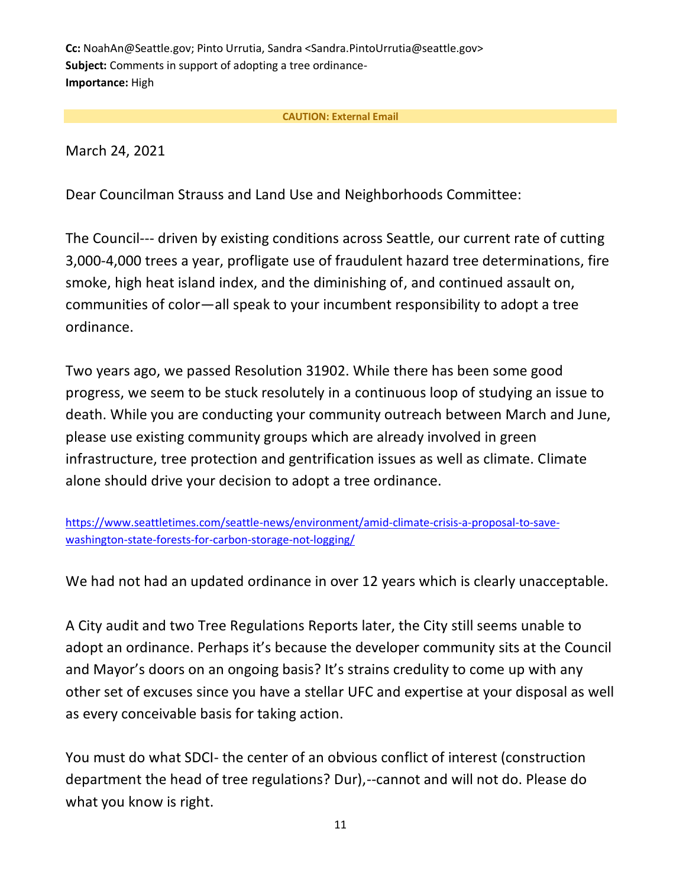**Cc:** NoahAn@Seattle.gov; Pinto Urrutia, Sandra <Sandra.PintoUrrutia@seattle.gov> **Subject:** Comments in support of adopting a tree ordinance-**Importance:** High

## **CAUTION: External Email**

March 24, 2021

Dear Councilman Strauss and Land Use and Neighborhoods Committee:

The Council--- driven by existing conditions across Seattle, our current rate of cutting 3,000-4,000 trees a year, profligate use of fraudulent hazard tree determinations, fire smoke, high heat island index, and the diminishing of, and continued assault on, communities of color—all speak to your incumbent responsibility to adopt a tree ordinance.

Two years ago, we passed Resolution 31902. While there has been some good progress, we seem to be stuck resolutely in a continuous loop of studying an issue to death. While you are conducting your community outreach between March and June, please use existing community groups which are already involved in green infrastructure, tree protection and gentrification issues as well as climate. Climate alone should drive your decision to adopt a tree ordinance.

[https://www.seattletimes.com/seattle-news/environment/amid-climate-crisis-a-proposal-to-save](https://www.seattletimes.com/seattle-news/environment/amid-climate-crisis-a-proposal-to-save-washington-state-forests-for-carbon-storage-not-logging/)[washington-state-forests-for-carbon-storage-not-logging/](https://www.seattletimes.com/seattle-news/environment/amid-climate-crisis-a-proposal-to-save-washington-state-forests-for-carbon-storage-not-logging/)

We had not had an updated ordinance in over 12 years which is clearly unacceptable.

A City audit and two Tree Regulations Reports later, the City still seems unable to adopt an ordinance. Perhaps it's because the developer community sits at the Council and Mayor's doors on an ongoing basis? It's strains credulity to come up with any other set of excuses since you have a stellar UFC and expertise at your disposal as well as every conceivable basis for taking action.

You must do what SDCI- the center of an obvious conflict of interest (construction department the head of tree regulations? Dur),--cannot and will not do. Please do what you know is right.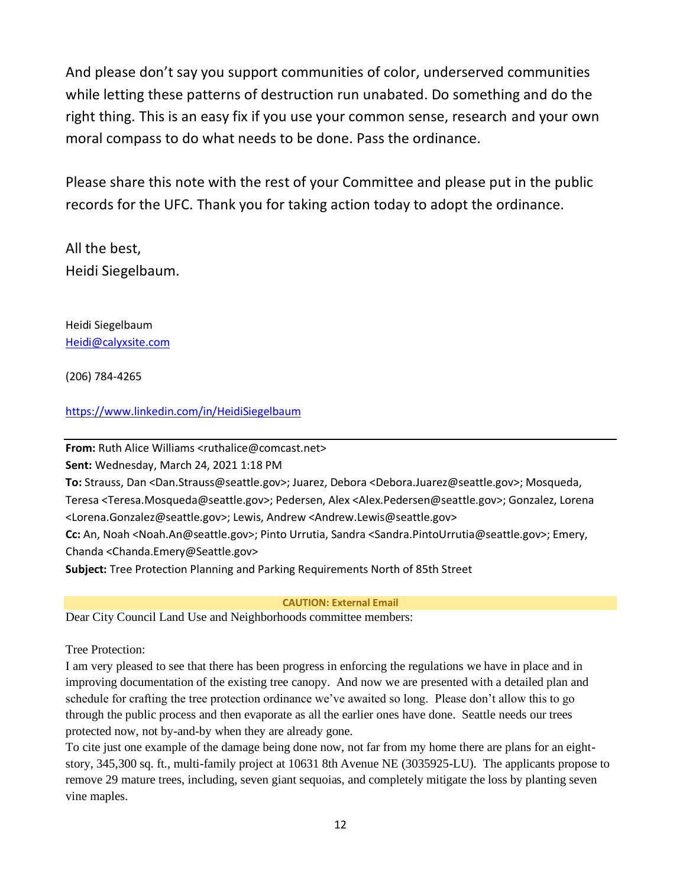And please don't say you support communities of color, underserved communities while letting these patterns of destruction run unabated. Do something and do the right thing. This is an easy fix if you use your common sense, research and your own moral compass to do what needs to be done. Pass the ordinance.

Please share this note with the rest of your Committee and please put in the public records for the UFC. Thank you for taking action today to adopt the ordinance.

All the best, Heidi Siegelbaum.

Heidi Siegelbaum [Heidi@calyxsite.com](mailto:Heidi@calyxsite.com)

(206) 784-4265

<https://www.linkedin.com/in/HeidiSiegelbaum>

**From:** Ruth Alice Williams <ruthalice@comcast.net>

**Sent:** Wednesday, March 24, 2021 1:18 PM

**To:** Strauss, Dan <Dan.Strauss@seattle.gov>; Juarez, Debora <Debora.Juarez@seattle.gov>; Mosqueda, Teresa <Teresa.Mosqueda@seattle.gov>; Pedersen, Alex <Alex.Pedersen@seattle.gov>; Gonzalez, Lorena <Lorena.Gonzalez@seattle.gov>; Lewis, Andrew <Andrew.Lewis@seattle.gov> **Cc:** An, Noah <Noah.An@seattle.gov>; Pinto Urrutia, Sandra <Sandra.PintoUrrutia@seattle.gov>; Emery, Chanda <Chanda.Emery@Seattle.gov>

**Subject:** Tree Protection Planning and Parking Requirements North of 85th Street

**CAUTION: External Email**

Dear City Council Land Use and Neighborhoods committee members:

Tree Protection:

I am very pleased to see that there has been progress in enforcing the regulations we have in place and in improving documentation of the existing tree canopy. And now we are presented with a detailed plan and schedule for crafting the tree protection ordinance we've awaited so long. Please don't allow this to go through the public process and then evaporate as all the earlier ones have done. Seattle needs our trees protected now, not by-and-by when they are already gone.

To cite just one example of the damage being done now, not far from my home there are plans for an eightstory, 345,300 sq. ft., multi-family project at 10631 8th Avenue NE (3035925-LU). The applicants propose to remove 29 mature trees, including, seven giant sequoias, and completely mitigate the loss by planting seven vine maples.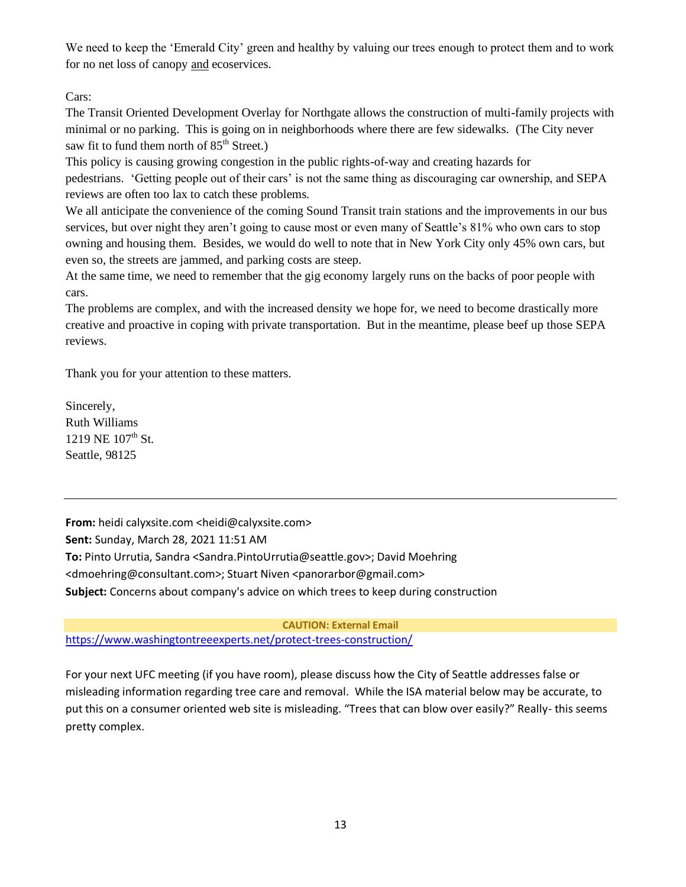We need to keep the 'Emerald City' green and healthy by valuing our trees enough to protect them and to work for no net loss of canopy and ecoservices.

Cars:

The Transit Oriented Development Overlay for Northgate allows the construction of multi-family projects with minimal or no parking. This is going on in neighborhoods where there are few sidewalks. (The City never saw fit to fund them north of  $85<sup>th</sup>$  Street.)

This policy is causing growing congestion in the public rights-of-way and creating hazards for pedestrians. 'Getting people out of their cars' is not the same thing as discouraging car ownership, and SEPA reviews are often too lax to catch these problems.

We all anticipate the convenience of the coming Sound Transit train stations and the improvements in our bus services, but over night they aren't going to cause most or even many of Seattle's 81% who own cars to stop owning and housing them. Besides, we would do well to note that in New York City only 45% own cars, but even so, the streets are jammed, and parking costs are steep.

At the same time, we need to remember that the gig economy largely runs on the backs of poor people with cars.

The problems are complex, and with the increased density we hope for, we need to become drastically more creative and proactive in coping with private transportation. But in the meantime, please beef up those SEPA reviews.

Thank you for your attention to these matters.

Sincerely, Ruth Williams 1219 NE  $107^{\text{th}}$  St. Seattle, 98125

**From:** heidi calyxsite.com <heidi@calyxsite.com> **Sent:** Sunday, March 28, 2021 11:51 AM **To:** Pinto Urrutia, Sandra <Sandra.PintoUrrutia@seattle.gov>; David Moehring <dmoehring@consultant.com>; Stuart Niven <panorarbor@gmail.com> **Subject:** Concerns about company's advice on which trees to keep during construction

**CAUTION: External Email** [https://www.washingtontreeexperts.net/protect-trees-construction/](https://protect2.fireeye.com/v1/url?k=bc1be24c-e380db7e-bc1bcafc-8697e44c76c2-83f4a9517a505036&q=1&e=051c7a33-4695-41c9-88fc-911da4067498&u=https%3A%2F%2Fwww.washingtontreeexperts.net%2Fprotect-trees-construction%2F)

For your next UFC meeting (if you have room), please discuss how the City of Seattle addresses false or misleading information regarding tree care and removal. While the ISA material below may be accurate, to put this on a consumer oriented web site is misleading. "Trees that can blow over easily?" Really- this seems pretty complex.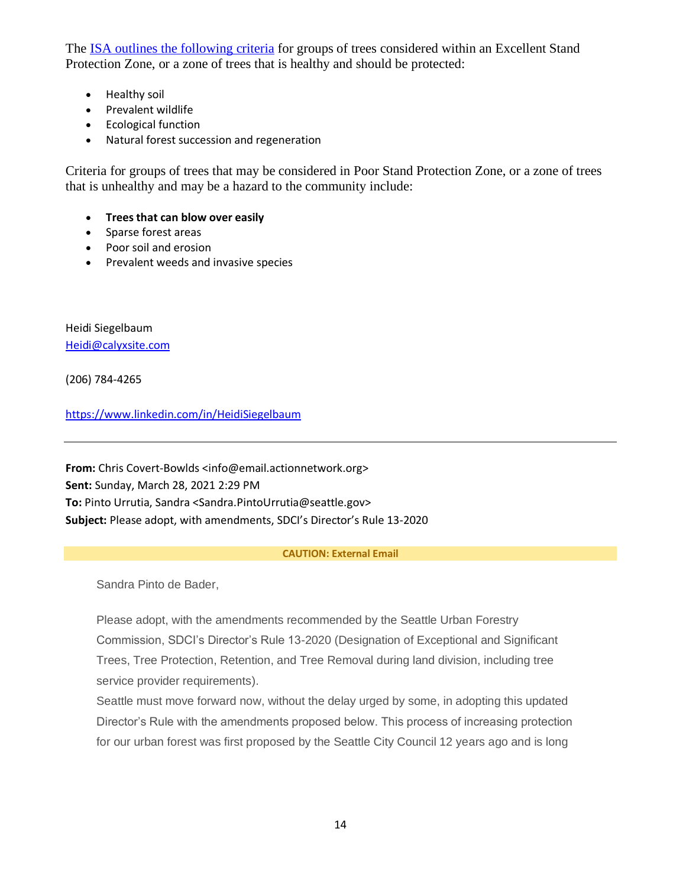The **ISA** outlines the following criteria for groups of trees considered within an Excellent Stand Pro[tection Zone, or a zone of trees that](https://protect2.fireeye.com/v1/url?k=199266cd-46095fff-19924e7d-8697e44c76c2-0798d8aece6657a7&q=1&e=051c7a33-4695-41c9-88fc-911da4067498&u=https%3A%2F%2Fpnwisa.org%2Ftree-care%2Fdamage%2Fprotecting-trees-from-damage%2F) is healthy and should be protected:

- Healthy soil
- Prevalent wildlife
- Ecological function
- Natural forest succession and regeneration

Criteria for groups of trees that may be considered in Poor Stand Protection Zone, or a zone of trees that is unhealthy and may be a hazard to the community include:

- **Trees that can blow over easily**
- Sparse forest areas
- Poor soil and erosion
- Prevalent weeds and invasive species

Heidi Siegelbaum [Heidi@calyxsite.com](mailto:Heidi@calyxsite.com)

(206) 784-4265

<https://www.linkedin.com/in/HeidiSiegelbaum>

**From:** Chris Covert-Bowlds <info@email.actionnetwork.org> **Sent:** Sunday, March 28, 2021 2:29 PM **To:** Pinto Urrutia, Sandra <Sandra.PintoUrrutia@seattle.gov> **Subject:** Please adopt, with amendments, SDCI's Director's Rule 13-2020

#### **CAUTION: External Email**

Sandra Pinto de Bader,

Please adopt, with the amendments recommended by the Seattle Urban Forestry Commission, SDCI's Director's Rule 13-2020 (Designation of Exceptional and Significant Trees, Tree Protection, Retention, and Tree Removal during land division, including tree service provider requirements).

Seattle must move forward now, without the delay urged by some, in adopting this updated Director's Rule with the amendments proposed below. This process of increasing protection for our urban forest was first proposed by the Seattle City Council 12 years ago and is long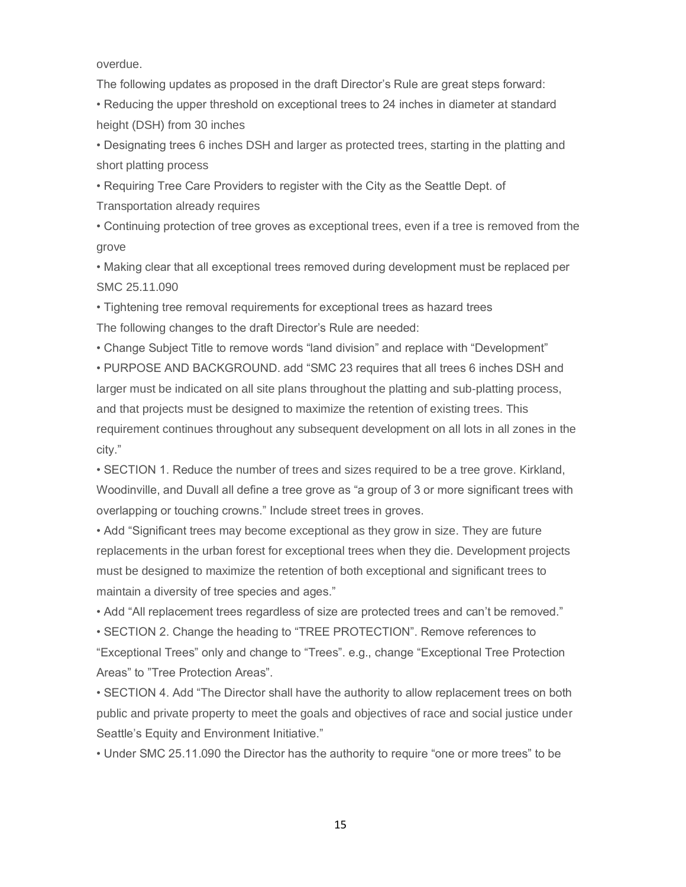overdue.

The following updates as proposed in the draft Director's Rule are great steps forward:

• Reducing the upper threshold on exceptional trees to 24 inches in diameter at standard height (DSH) from 30 inches

• Designating trees 6 inches DSH and larger as protected trees, starting in the platting and short platting process

• Requiring Tree Care Providers to register with the City as the Seattle Dept. of

Transportation already requires

• Continuing protection of tree groves as exceptional trees, even if a tree is removed from the grove

• Making clear that all exceptional trees removed during development must be replaced per SMC 25.11.090

• Tightening tree removal requirements for exceptional trees as hazard trees

The following changes to the draft Director's Rule are needed:

• Change Subject Title to remove words "land division" and replace with "Development"

• PURPOSE AND BACKGROUND. add "SMC 23 requires that all trees 6 inches DSH and larger must be indicated on all site plans throughout the platting and sub-platting process, and that projects must be designed to maximize the retention of existing trees. This requirement continues throughout any subsequent development on all lots in all zones in the city."

• SECTION 1. Reduce the number of trees and sizes required to be a tree grove. Kirkland, Woodinville, and Duvall all define a tree grove as "a group of 3 or more significant trees with overlapping or touching crowns." Include street trees in groves.

• Add "Significant trees may become exceptional as they grow in size. They are future replacements in the urban forest for exceptional trees when they die. Development projects must be designed to maximize the retention of both exceptional and significant trees to maintain a diversity of tree species and ages."

• Add "All replacement trees regardless of size are protected trees and can't be removed."

• SECTION 2. Change the heading to "TREE PROTECTION". Remove references to "Exceptional Trees" only and change to "Trees". e.g., change "Exceptional Tree Protection

Areas" to "Tree Protection Areas".

• SECTION 4. Add "The Director shall have the authority to allow replacement trees on both public and private property to meet the goals and objectives of race and social justice under Seattle's Equity and Environment Initiative."

• Under SMC 25.11.090 the Director has the authority to require "one or more trees" to be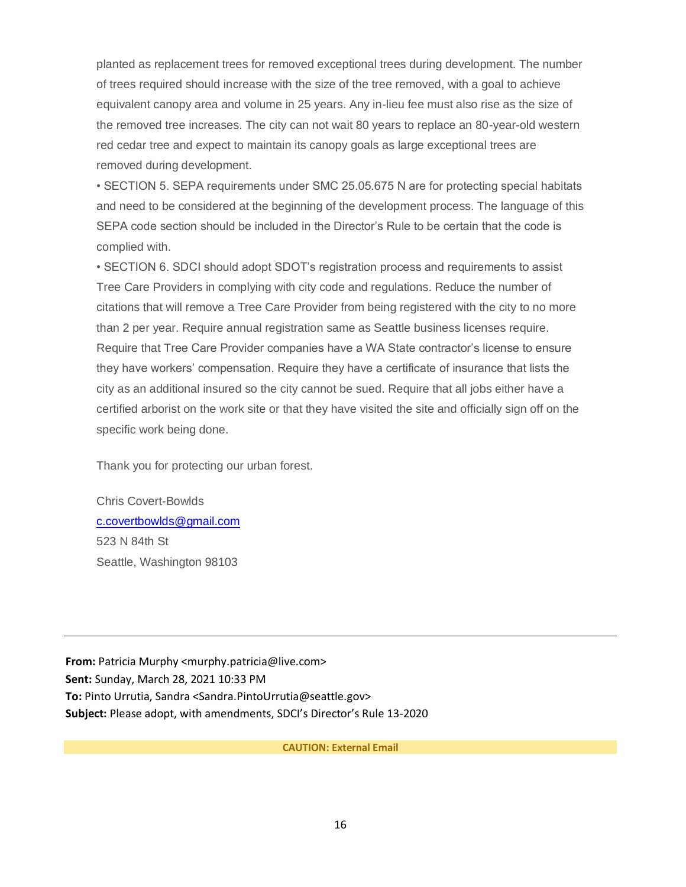planted as replacement trees for removed exceptional trees during development. The number of trees required should increase with the size of the tree removed, with a goal to achieve equivalent canopy area and volume in 25 years. Any in-lieu fee must also rise as the size of the removed tree increases. The city can not wait 80 years to replace an 80-year-old western red cedar tree and expect to maintain its canopy goals as large exceptional trees are removed during development.

• SECTION 5. SEPA requirements under SMC 25.05.675 N are for protecting special habitats and need to be considered at the beginning of the development process. The language of this SEPA code section should be included in the Director's Rule to be certain that the code is complied with.

• SECTION 6. SDCI should adopt SDOT's registration process and requirements to assist Tree Care Providers in complying with city code and regulations. Reduce the number of citations that will remove a Tree Care Provider from being registered with the city to no more than 2 per year. Require annual registration same as Seattle business licenses require. Require that Tree Care Provider companies have a WA State contractor's license to ensure they have workers' compensation. Require they have a certificate of insurance that lists the city as an additional insured so the city cannot be sued. Require that all jobs either have a certified arborist on the work site or that they have visited the site and officially sign off on the specific work being done.

Thank you for protecting our urban forest.

Chris Covert-Bowlds [c.covertbowlds@gmail.com](mailto:c.covertbowlds@gmail.com) 523 N 84th St Seattle, Washington 98103

**From:** Patricia Murphy <murphy.patricia@live.com> **Sent:** Sunday, March 28, 2021 10:33 PM **To:** Pinto Urrutia, Sandra <Sandra.PintoUrrutia@seattle.gov> **Subject:** Please adopt, with amendments, SDCI's Director's Rule 13-2020

**CAUTION: External Email**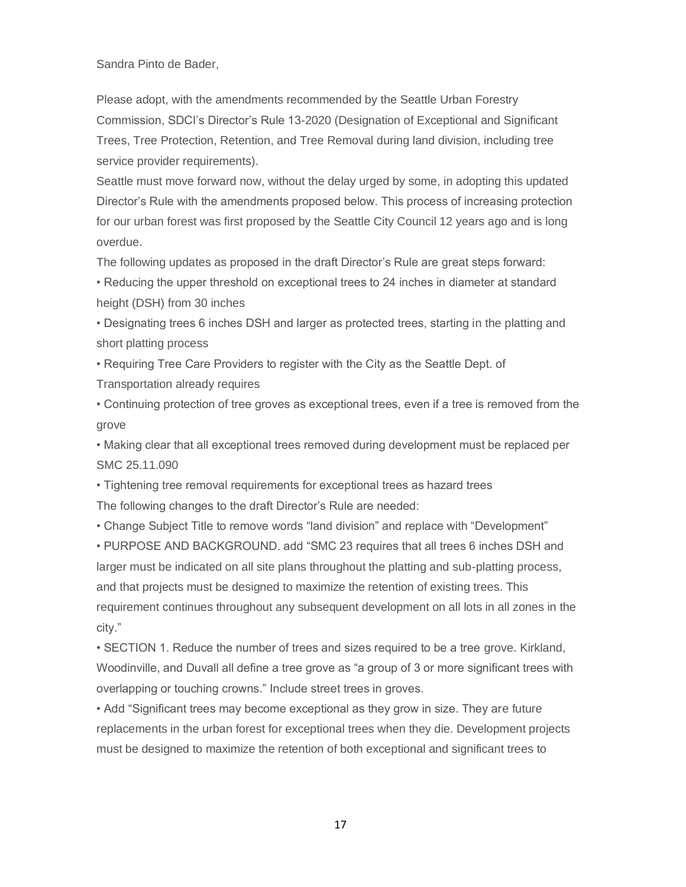Sandra Pinto de Bader,

Please adopt, with the amendments recommended by the Seattle Urban Forestry Commission, SDCI's Director's Rule 13-2020 (Designation of Exceptional and Significant Trees, Tree Protection, Retention, and Tree Removal during land division, including tree service provider requirements).

Seattle must move forward now, without the delay urged by some, in adopting this updated Director's Rule with the amendments proposed below. This process of increasing protection for our urban forest was first proposed by the Seattle City Council 12 years ago and is long overdue.

The following updates as proposed in the draft Director's Rule are great steps forward:

• Reducing the upper threshold on exceptional trees to 24 inches in diameter at standard height (DSH) from 30 inches

• Designating trees 6 inches DSH and larger as protected trees, starting in the platting and short platting process

• Requiring Tree Care Providers to register with the City as the Seattle Dept. of Transportation already requires

• Continuing protection of tree groves as exceptional trees, even if a tree is removed from the grove

• Making clear that all exceptional trees removed during development must be replaced per SMC 25.11.090

• Tightening tree removal requirements for exceptional trees as hazard trees The following changes to the draft Director's Rule are needed:

• Change Subject Title to remove words "land division" and replace with "Development"

• PURPOSE AND BACKGROUND. add "SMC 23 requires that all trees 6 inches DSH and larger must be indicated on all site plans throughout the platting and sub-platting process, and that projects must be designed to maximize the retention of existing trees. This requirement continues throughout any subsequent development on all lots in all zones in the city."

• SECTION 1. Reduce the number of trees and sizes required to be a tree grove. Kirkland, Woodinville, and Duvall all define a tree grove as "a group of 3 or more significant trees with overlapping or touching crowns." Include street trees in groves.

• Add "Significant trees may become exceptional as they grow in size. They are future replacements in the urban forest for exceptional trees when they die. Development projects must be designed to maximize the retention of both exceptional and significant trees to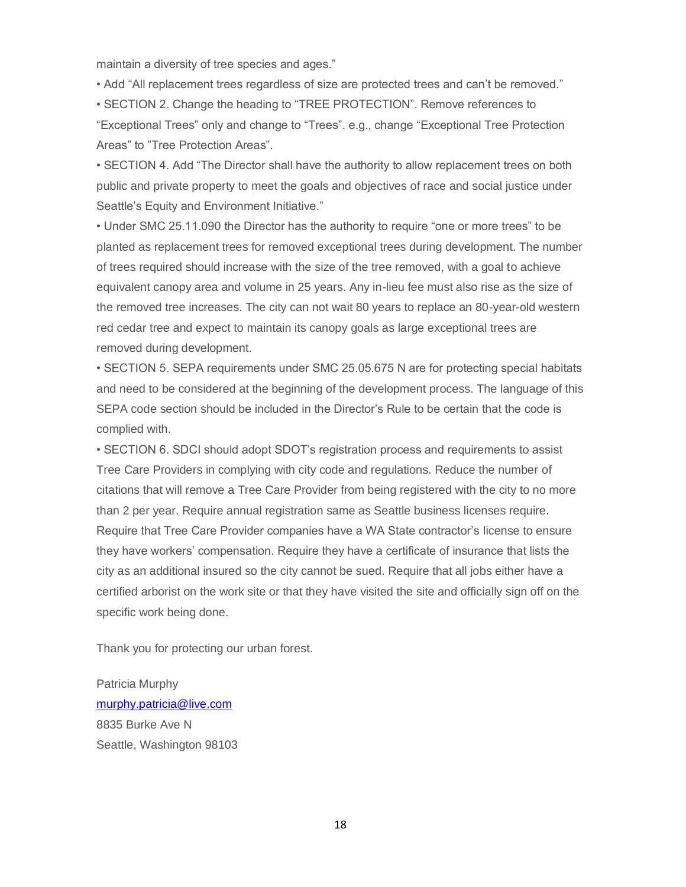maintain a diversity of tree species and ages."

• Add "All replacement trees regardless of size are protected trees and can't be removed."

• SECTION 2. Change the heading to "TREE PROTECTION". Remove references to "Exceptional Trees" only and change to "Trees". e.g., change "Exceptional Tree Protection Areas" to "Tree Protection Areas".

• SECTION 4. Add "The Director shall have the authority to allow replacement trees on both public and private property to meet the goals and objectives of race and social justice under Seattle's Equity and Environment Initiative."

• Under SMC 25.11.090 the Director has the authority to require "one or more trees" to be planted as replacement trees for removed exceptional trees during development. The number of trees required should increase with the size of the tree removed, with a goal to achieve equivalent canopy area and volume in 25 years. Any in-lieu fee must also rise as the size of the removed tree increases. The city can not wait 80 years to replace an 80-year-old western red cedar tree and expect to maintain its canopy goals as large exceptional trees are removed during development.

• SECTION 5. SEPA requirements under SMC 25.05.675 N are for protecting special habitats and need to be considered at the beginning of the development process. The language of this SEPA code section should be included in the Director's Rule to be certain that the code is complied with.

• SECTION 6. SDCI should adopt SDOT's registration process and requirements to assist Tree Care Providers in complying with city code and regulations. Reduce the number of citations that will remove a Tree Care Provider from being registered with the city to no more than 2 per year. Require annual registration same as Seattle business licenses require. Require that Tree Care Provider companies have a WA State contractor's license to ensure they have workers' compensation. Require they have a certificate of insurance that lists the city as an additional insured so the city cannot be sued. Require that all jobs either have a certified arborist on the work site or that they have visited the site and officially sign off on the specific work being done.

Thank you for protecting our urban forest.

Patricia Murphy [murphy.patricia@live.com](mailto:murphy.patricia@live.com) 8835 Burke Ave N Seattle, Washington 98103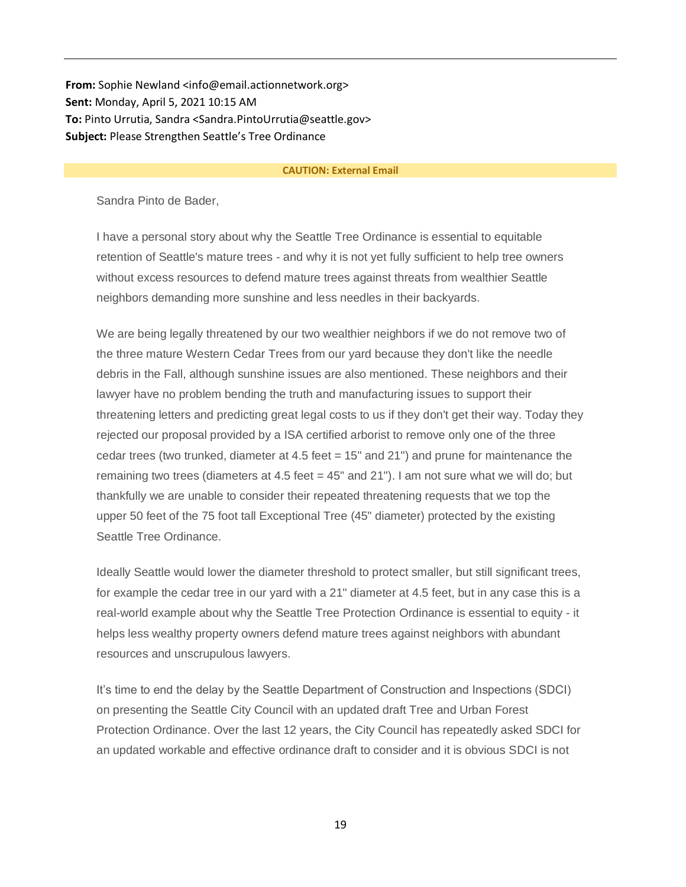**From:** Sophie Newland <info@email.actionnetwork.org> **Sent:** Monday, April 5, 2021 10:15 AM **To:** Pinto Urrutia, Sandra <Sandra.PintoUrrutia@seattle.gov> **Subject:** Please Strengthen Seattle's Tree Ordinance

#### **CAUTION: External Email**

Sandra Pinto de Bader,

I have a personal story about why the Seattle Tree Ordinance is essential to equitable retention of Seattle's mature trees - and why it is not yet fully sufficient to help tree owners without excess resources to defend mature trees against threats from wealthier Seattle neighbors demanding more sunshine and less needles in their backyards.

We are being legally threatened by our two wealthier neighbors if we do not remove two of the three mature Western Cedar Trees from our yard because they don't like the needle debris in the Fall, although sunshine issues are also mentioned. These neighbors and their lawyer have no problem bending the truth and manufacturing issues to support their threatening letters and predicting great legal costs to us if they don't get their way. Today they rejected our proposal provided by a ISA certified arborist to remove only one of the three cedar trees (two trunked, diameter at 4.5 feet = 15" and 21") and prune for maintenance the remaining two trees (diameters at 4.5 feet  $=$  45" and 21"). I am not sure what we will do; but thankfully we are unable to consider their repeated threatening requests that we top the upper 50 feet of the 75 foot tall Exceptional Tree (45" diameter) protected by the existing Seattle Tree Ordinance.

Ideally Seattle would lower the diameter threshold to protect smaller, but still significant trees, for example the cedar tree in our yard with a 21" diameter at 4.5 feet, but in any case this is a real-world example about why the Seattle Tree Protection Ordinance is essential to equity - it helps less wealthy property owners defend mature trees against neighbors with abundant resources and unscrupulous lawyers.

It's time to end the delay by the Seattle Department of Construction and Inspections (SDCI) on presenting the Seattle City Council with an updated draft Tree and Urban Forest Protection Ordinance. Over the last 12 years, the City Council has repeatedly asked SDCI for an updated workable and effective ordinance draft to consider and it is obvious SDCI is not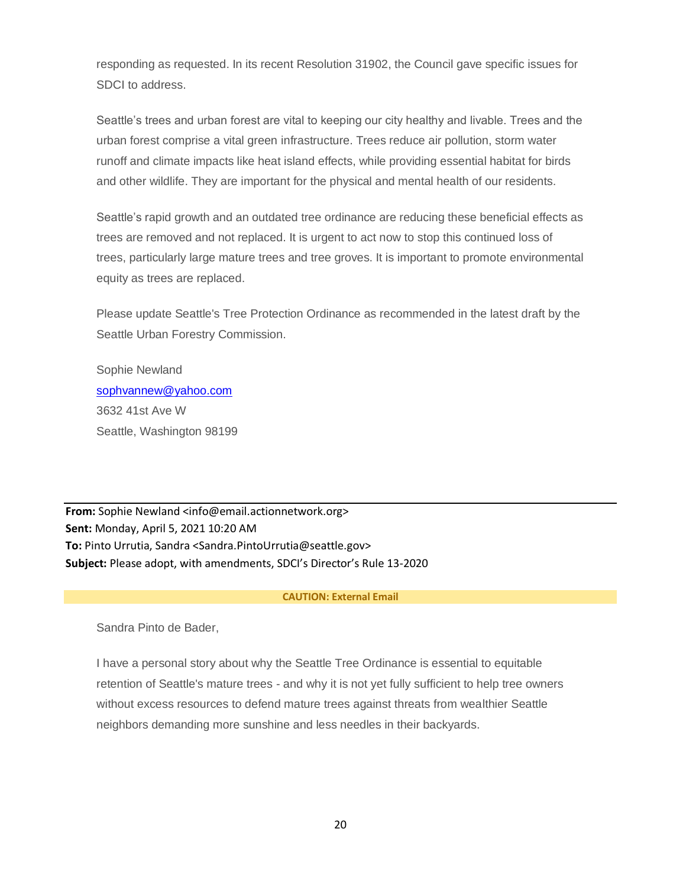responding as requested. In its recent Resolution 31902, the Council gave specific issues for SDCI to address.

Seattle's trees and urban forest are vital to keeping our city healthy and livable. Trees and the urban forest comprise a vital green infrastructure. Trees reduce air pollution, storm water runoff and climate impacts like heat island effects, while providing essential habitat for birds and other wildlife. They are important for the physical and mental health of our residents.

Seattle's rapid growth and an outdated tree ordinance are reducing these beneficial effects as trees are removed and not replaced. It is urgent to act now to stop this continued loss of trees, particularly large mature trees and tree groves. It is important to promote environmental equity as trees are replaced.

Please update Seattle's Tree Protection Ordinance as recommended in the latest draft by the Seattle Urban Forestry Commission.

Sophie Newland [sophvannew@yahoo.com](mailto:sophvannew@yahoo.com) 3632 41st Ave W Seattle, Washington 98199

**From:** Sophie Newland <info@email.actionnetwork.org> **Sent:** Monday, April 5, 2021 10:20 AM **To:** Pinto Urrutia, Sandra <Sandra.PintoUrrutia@seattle.gov> **Subject:** Please adopt, with amendments, SDCI's Director's Rule 13-2020

#### **CAUTION: External Email**

Sandra Pinto de Bader,

I have a personal story about why the Seattle Tree Ordinance is essential to equitable retention of Seattle's mature trees - and why it is not yet fully sufficient to help tree owners without excess resources to defend mature trees against threats from wealthier Seattle neighbors demanding more sunshine and less needles in their backyards.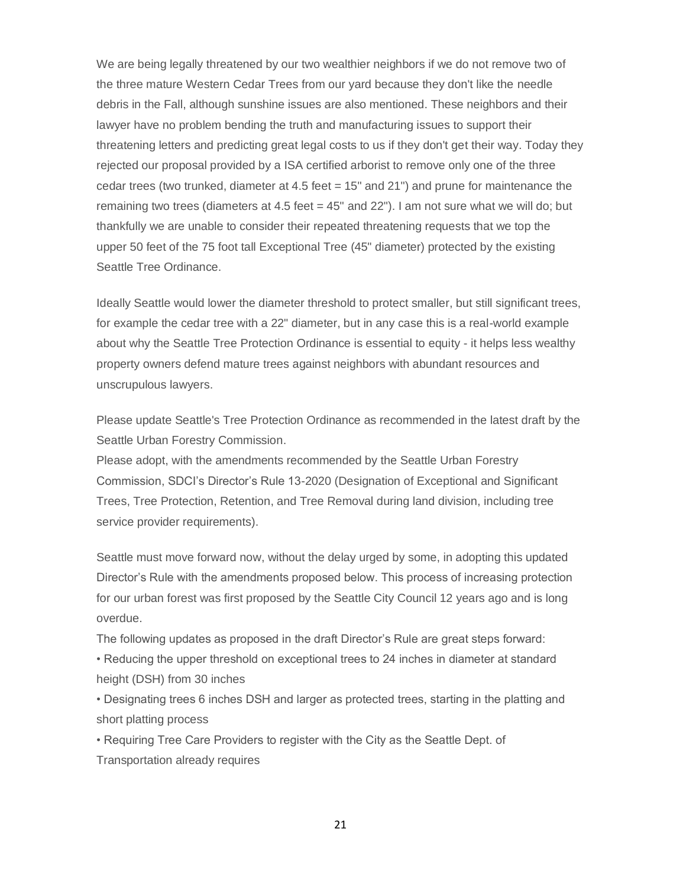We are being legally threatened by our two wealthier neighbors if we do not remove two of the three mature Western Cedar Trees from our yard because they don't like the needle debris in the Fall, although sunshine issues are also mentioned. These neighbors and their lawyer have no problem bending the truth and manufacturing issues to support their threatening letters and predicting great legal costs to us if they don't get their way. Today they rejected our proposal provided by a ISA certified arborist to remove only one of the three cedar trees (two trunked, diameter at 4.5 feet = 15" and 21") and prune for maintenance the remaining two trees (diameters at  $4.5$  feet  $= 45$ " and  $22$ "). I am not sure what we will do; but thankfully we are unable to consider their repeated threatening requests that we top the upper 50 feet of the 75 foot tall Exceptional Tree (45" diameter) protected by the existing Seattle Tree Ordinance.

Ideally Seattle would lower the diameter threshold to protect smaller, but still significant trees, for example the cedar tree with a 22" diameter, but in any case this is a real-world example about why the Seattle Tree Protection Ordinance is essential to equity - it helps less wealthy property owners defend mature trees against neighbors with abundant resources and unscrupulous lawyers.

Please update Seattle's Tree Protection Ordinance as recommended in the latest draft by the Seattle Urban Forestry Commission.

Please adopt, with the amendments recommended by the Seattle Urban Forestry Commission, SDCI's Director's Rule 13-2020 (Designation of Exceptional and Significant Trees, Tree Protection, Retention, and Tree Removal during land division, including tree service provider requirements).

Seattle must move forward now, without the delay urged by some, in adopting this updated Director's Rule with the amendments proposed below. This process of increasing protection for our urban forest was first proposed by the Seattle City Council 12 years ago and is long overdue.

The following updates as proposed in the draft Director's Rule are great steps forward:

• Reducing the upper threshold on exceptional trees to 24 inches in diameter at standard height (DSH) from 30 inches

• Designating trees 6 inches DSH and larger as protected trees, starting in the platting and short platting process

• Requiring Tree Care Providers to register with the City as the Seattle Dept. of Transportation already requires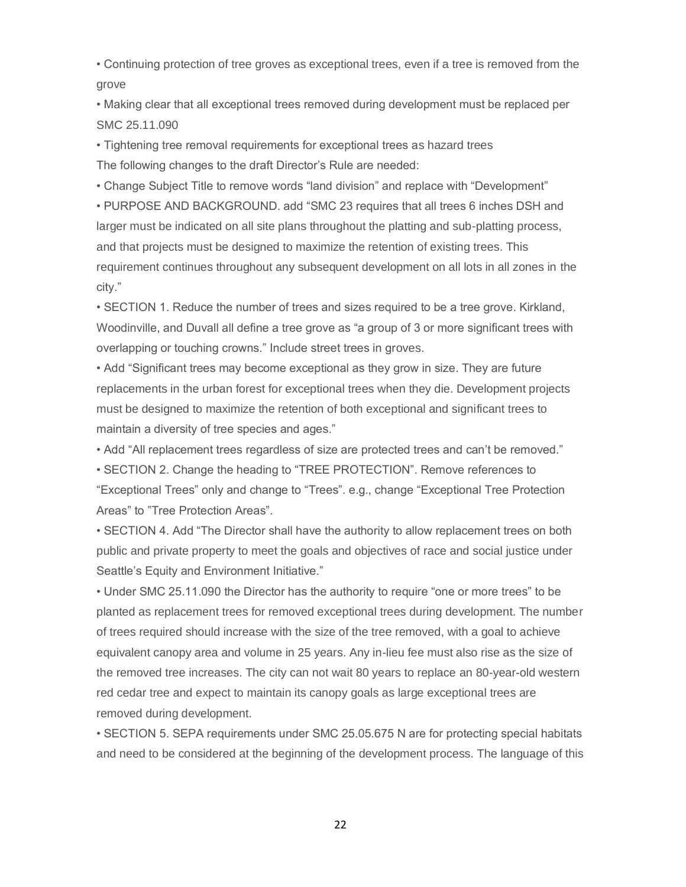• Continuing protection of tree groves as exceptional trees, even if a tree is removed from the grove

• Making clear that all exceptional trees removed during development must be replaced per SMC 25.11.090

• Tightening tree removal requirements for exceptional trees as hazard trees The following changes to the draft Director's Rule are needed:

• Change Subject Title to remove words "land division" and replace with "Development"

• PURPOSE AND BACKGROUND. add "SMC 23 requires that all trees 6 inches DSH and larger must be indicated on all site plans throughout the platting and sub-platting process, and that projects must be designed to maximize the retention of existing trees. This requirement continues throughout any subsequent development on all lots in all zones in the city."

• SECTION 1. Reduce the number of trees and sizes required to be a tree grove. Kirkland, Woodinville, and Duvall all define a tree grove as "a group of 3 or more significant trees with overlapping or touching crowns." Include street trees in groves.

• Add "Significant trees may become exceptional as they grow in size. They are future replacements in the urban forest for exceptional trees when they die. Development projects must be designed to maximize the retention of both exceptional and significant trees to maintain a diversity of tree species and ages."

• Add "All replacement trees regardless of size are protected trees and can't be removed."

• SECTION 2. Change the heading to "TREE PROTECTION". Remove references to "Exceptional Trees" only and change to "Trees". e.g., change "Exceptional Tree Protection Areas" to "Tree Protection Areas".

• SECTION 4. Add "The Director shall have the authority to allow replacement trees on both public and private property to meet the goals and objectives of race and social justice under Seattle's Equity and Environment Initiative."

• Under SMC 25.11.090 the Director has the authority to require "one or more trees" to be planted as replacement trees for removed exceptional trees during development. The number of trees required should increase with the size of the tree removed, with a goal to achieve equivalent canopy area and volume in 25 years. Any in-lieu fee must also rise as the size of the removed tree increases. The city can not wait 80 years to replace an 80-year-old western red cedar tree and expect to maintain its canopy goals as large exceptional trees are removed during development.

• SECTION 5. SEPA requirements under SMC 25.05.675 N are for protecting special habitats and need to be considered at the beginning of the development process. The language of this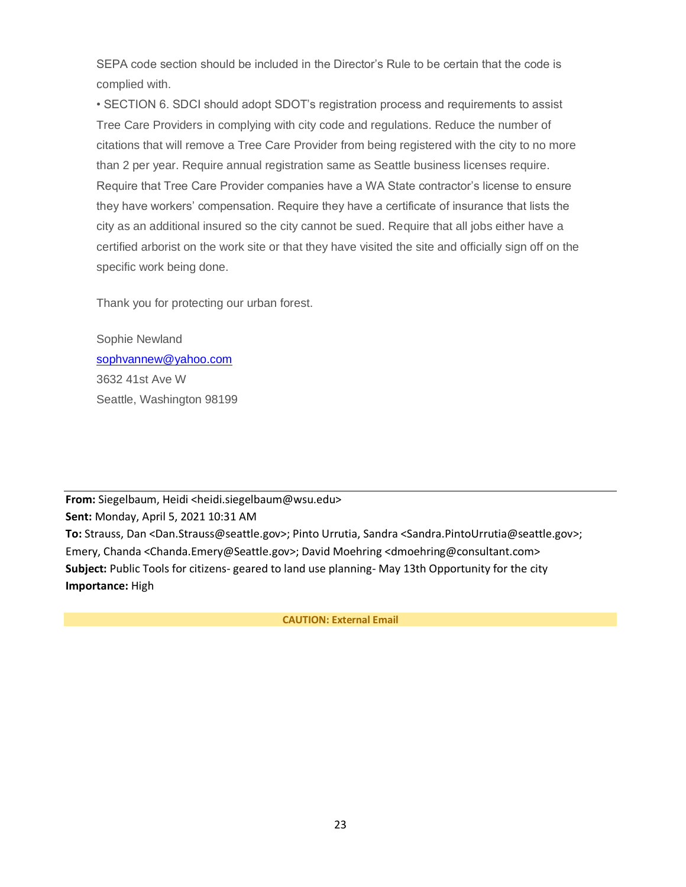SEPA code section should be included in the Director's Rule to be certain that the code is complied with.

• SECTION 6. SDCI should adopt SDOT's registration process and requirements to assist Tree Care Providers in complying with city code and regulations. Reduce the number of citations that will remove a Tree Care Provider from being registered with the city to no more than 2 per year. Require annual registration same as Seattle business licenses require. Require that Tree Care Provider companies have a WA State contractor's license to ensure they have workers' compensation. Require they have a certificate of insurance that lists the city as an additional insured so the city cannot be sued. Require that all jobs either have a certified arborist on the work site or that they have visited the site and officially sign off on the specific work being done.

Thank you for protecting our urban forest.

Sophie Newland [sophvannew@yahoo.com](mailto:sophvannew@yahoo.com) 3632 41st Ave W Seattle, Washington 98199

**From:** Siegelbaum, Heidi <heidi.siegelbaum@wsu.edu> **Sent:** Monday, April 5, 2021 10:31 AM **To:** Strauss, Dan <Dan.Strauss@seattle.gov>; Pinto Urrutia, Sandra <Sandra.PintoUrrutia@seattle.gov>; Emery, Chanda <Chanda.Emery@Seattle.gov>; David Moehring <dmoehring@consultant.com> **Subject:** Public Tools for citizens- geared to land use planning- May 13th Opportunity for the city **Importance:** High

**CAUTION: External Email**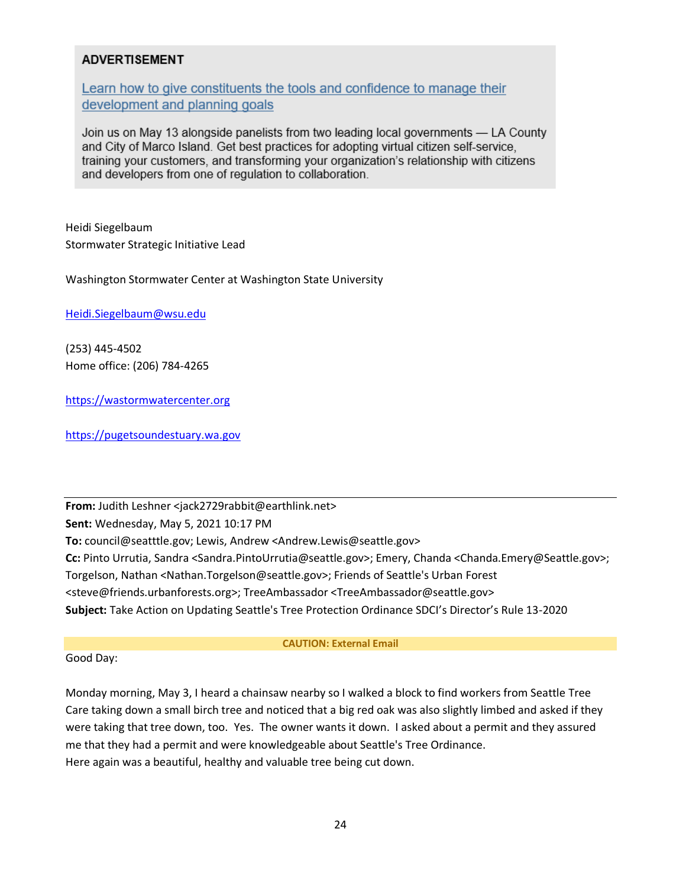# **ADVERTISEMENT**

Learn how to give constituents the tools and confidence to manage their development and planning goals

Join us on May 13 alongside panelists from two leading local governments — LA County and City of Marco Island. Get best practices for adopting virtual citizen self-service, training your customers, and transforming your organization's relationship with citizens and developers from one of regulation to collaboration.

Heidi Siegelbaum Stormwater Strategic Initiative Lead

Washington Stormwater Center at Washington State University

[Heidi.Siegelbaum@wsu.edu](mailto:Heidi.Siegelbaum@wsu.edu)

(253) 445-4502 Home office: (206) 784-4265

[https://wastormwatercenter.org](https://protect2.fireeye.com/v1/url?k=ef64ecdc-b0ffd5ce-ef64c46c-86b2e136ff17-53a324eea2645196&q=1&e=1e8d8c0c-9d0c-497d-bc8b-0998cc729633&u=https%3A%2F%2Fwastormwatercenter.org%2F)

[https://pugetsoundestuary.wa.gov](https://pugetsoundestuary.wa.gov/)

**From:** Judith Leshner <jack2729rabbit@earthlink.net> **Sent:** Wednesday, May 5, 2021 10:17 PM **To:** council@seatttle.gov; Lewis, Andrew <Andrew.Lewis@seattle.gov> **Cc:** Pinto Urrutia, Sandra <Sandra.PintoUrrutia@seattle.gov>; Emery, Chanda <Chanda.Emery@Seattle.gov>; Torgelson, Nathan <Nathan.Torgelson@seattle.gov>; Friends of Seattle's Urban Forest <steve@friends.urbanforests.org>; TreeAmbassador <TreeAmbassador@seattle.gov> **Subject:** Take Action on Updating Seattle's Tree Protection Ordinance SDCI's Director's Rule 13-2020

#### **CAUTION: External Email**

## Good Day:

Monday morning, May 3, I heard a chainsaw nearby so I walked a block to find workers from Seattle Tree Care taking down a small birch tree and noticed that a big red oak was also slightly limbed and asked if they were taking that tree down, too. Yes. The owner wants it down. I asked about a permit and they assured me that they had a permit and were knowledgeable about Seattle's Tree Ordinance. Here again was a beautiful, healthy and valuable tree being cut down.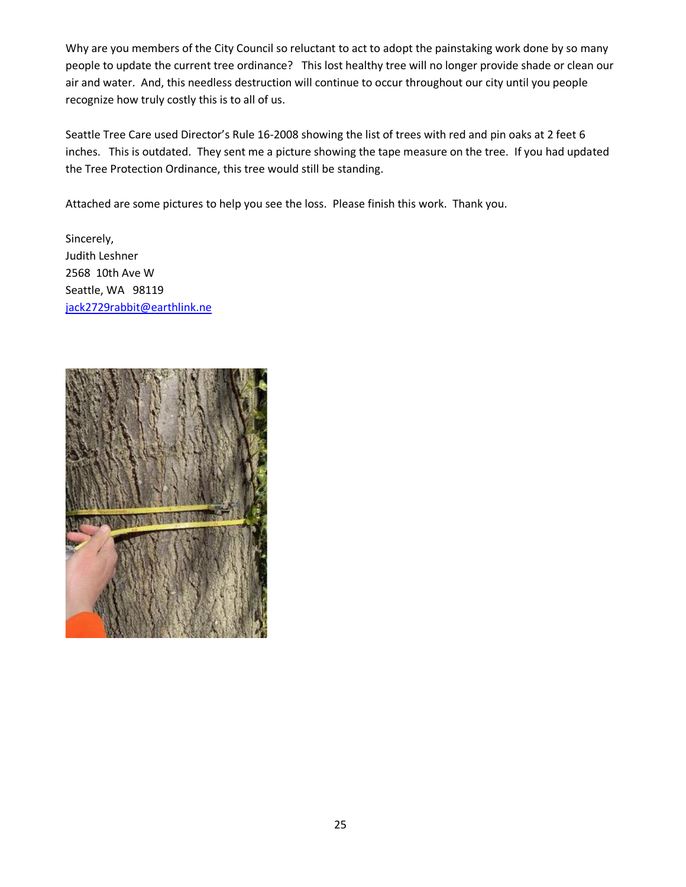Why are you members of the City Council so reluctant to act to adopt the painstaking work done by so many people to update the current tree ordinance? This lost healthy tree will no longer provide shade or clean our air and water. And, this needless destruction will continue to occur throughout our city until you people recognize how truly costly this is to all of us.

Seattle Tree Care used Director's Rule 16-2008 showing the list of trees with red and pin oaks at 2 feet 6 inches. This is outdated. They sent me a picture showing the tape measure on the tree. If you had updated the Tree Protection Ordinance, this tree would still be standing.

Attached are some pictures to help you see the loss. Please finish this work. Thank you.

Sincerely, Judith Leshner 2568 10th Ave W Seattle, WA 98119 [jack2729rabbit@earthlink.ne](mailto:jack2729rabbit@earthlink.net)

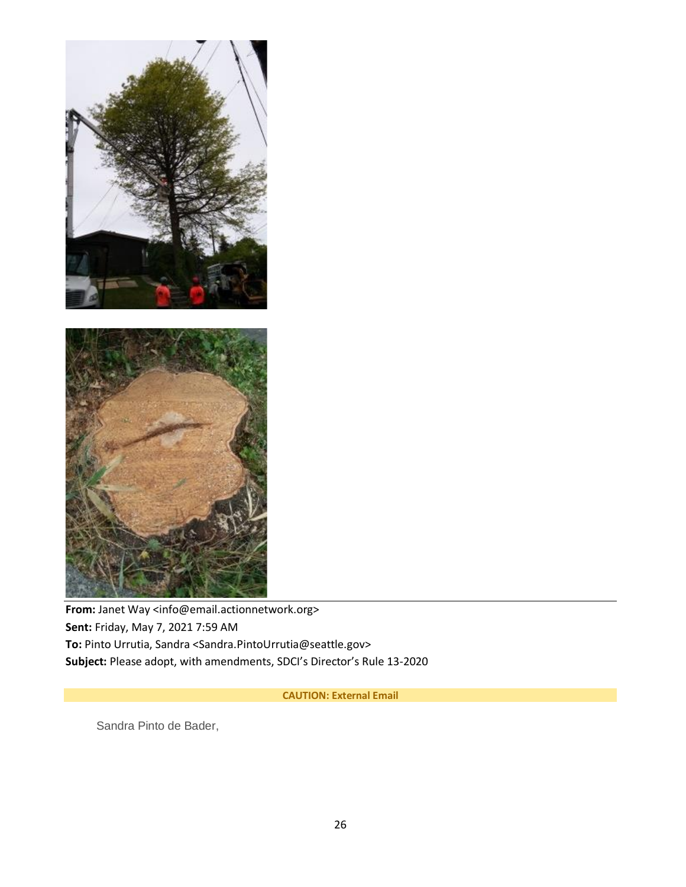

From: Janet Way <info@email.actionnetwork.org> **Sent:** Friday, May 7, 2021 7:59 AM **To:** Pinto Urrutia, Sandra <Sandra.PintoUrrutia@seattle.gov> **Subject:** Please adopt, with amendments, SDCI's Director's Rule 13-2020

**CAUTION: External Email**

Sandra Pinto de Bader,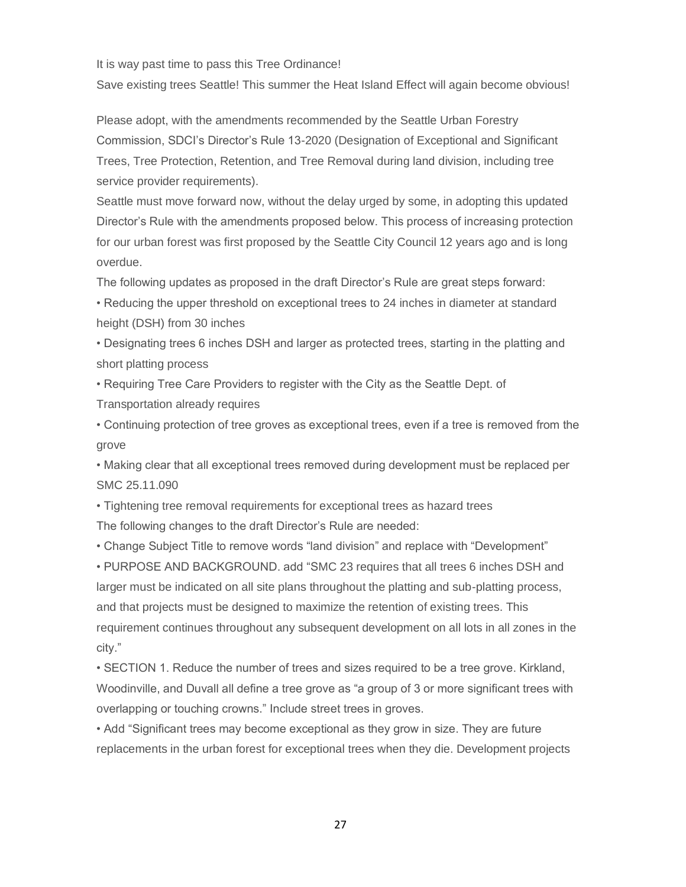It is way past time to pass this Tree Ordinance!

Save existing trees Seattle! This summer the Heat Island Effect will again become obvious!

Please adopt, with the amendments recommended by the Seattle Urban Forestry Commission, SDCI's Director's Rule 13-2020 (Designation of Exceptional and Significant Trees, Tree Protection, Retention, and Tree Removal during land division, including tree service provider requirements).

Seattle must move forward now, without the delay urged by some, in adopting this updated Director's Rule with the amendments proposed below. This process of increasing protection for our urban forest was first proposed by the Seattle City Council 12 years ago and is long overdue.

The following updates as proposed in the draft Director's Rule are great steps forward:

• Reducing the upper threshold on exceptional trees to 24 inches in diameter at standard height (DSH) from 30 inches

• Designating trees 6 inches DSH and larger as protected trees, starting in the platting and short platting process

• Requiring Tree Care Providers to register with the City as the Seattle Dept. of Transportation already requires

• Continuing protection of tree groves as exceptional trees, even if a tree is removed from the grove

• Making clear that all exceptional trees removed during development must be replaced per SMC 25.11.090

• Tightening tree removal requirements for exceptional trees as hazard trees The following changes to the draft Director's Rule are needed:

• Change Subject Title to remove words "land division" and replace with "Development"

• PURPOSE AND BACKGROUND. add "SMC 23 requires that all trees 6 inches DSH and larger must be indicated on all site plans throughout the platting and sub-platting process, and that projects must be designed to maximize the retention of existing trees. This requirement continues throughout any subsequent development on all lots in all zones in the city."

• SECTION 1. Reduce the number of trees and sizes required to be a tree grove. Kirkland, Woodinville, and Duvall all define a tree grove as "a group of 3 or more significant trees with overlapping or touching crowns." Include street trees in groves.

• Add "Significant trees may become exceptional as they grow in size. They are future replacements in the urban forest for exceptional trees when they die. Development projects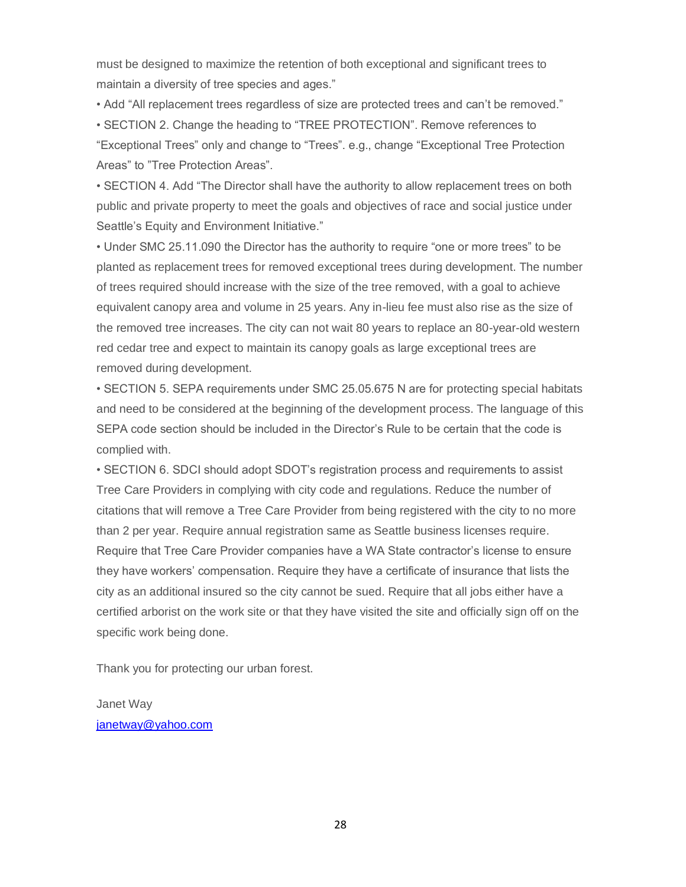must be designed to maximize the retention of both exceptional and significant trees to maintain a diversity of tree species and ages."

• Add "All replacement trees regardless of size are protected trees and can't be removed."

• SECTION 2. Change the heading to "TREE PROTECTION". Remove references to "Exceptional Trees" only and change to "Trees". e.g., change "Exceptional Tree Protection Areas" to "Tree Protection Areas".

• SECTION 4. Add "The Director shall have the authority to allow replacement trees on both public and private property to meet the goals and objectives of race and social justice under Seattle's Equity and Environment Initiative."

• Under SMC 25.11.090 the Director has the authority to require "one or more trees" to be planted as replacement trees for removed exceptional trees during development. The number of trees required should increase with the size of the tree removed, with a goal to achieve equivalent canopy area and volume in 25 years. Any in-lieu fee must also rise as the size of the removed tree increases. The city can not wait 80 years to replace an 80-year-old western red cedar tree and expect to maintain its canopy goals as large exceptional trees are removed during development.

• SECTION 5. SEPA requirements under SMC 25.05.675 N are for protecting special habitats and need to be considered at the beginning of the development process. The language of this SEPA code section should be included in the Director's Rule to be certain that the code is complied with.

• SECTION 6. SDCI should adopt SDOT's registration process and requirements to assist Tree Care Providers in complying with city code and regulations. Reduce the number of citations that will remove a Tree Care Provider from being registered with the city to no more than 2 per year. Require annual registration same as Seattle business licenses require. Require that Tree Care Provider companies have a WA State contractor's license to ensure they have workers' compensation. Require they have a certificate of insurance that lists the city as an additional insured so the city cannot be sued. Require that all jobs either have a certified arborist on the work site or that they have visited the site and officially sign off on the specific work being done.

Thank you for protecting our urban forest.

Janet Way [janetway@yahoo.com](mailto:janetway@yahoo.com)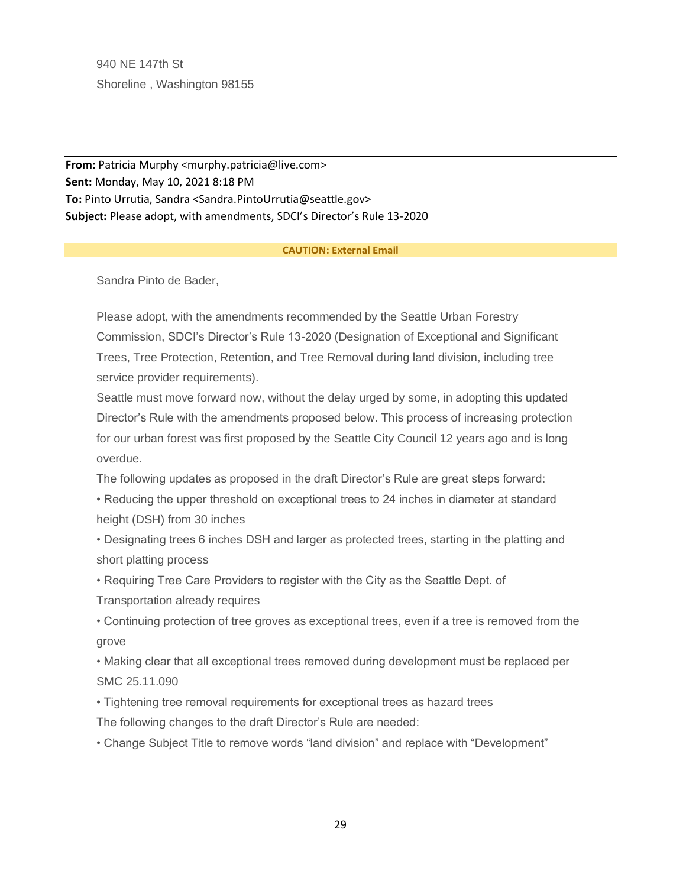940 NE 147th St Shoreline , Washington 98155

**From:** Patricia Murphy <murphy.patricia@live.com> **Sent:** Monday, May 10, 2021 8:18 PM **To:** Pinto Urrutia, Sandra <Sandra.PintoUrrutia@seattle.gov> **Subject:** Please adopt, with amendments, SDCI's Director's Rule 13-2020

#### **CAUTION: External Email**

Sandra Pinto de Bader,

Please adopt, with the amendments recommended by the Seattle Urban Forestry Commission, SDCI's Director's Rule 13-2020 (Designation of Exceptional and Significant Trees, Tree Protection, Retention, and Tree Removal during land division, including tree service provider requirements).

Seattle must move forward now, without the delay urged by some, in adopting this updated Director's Rule with the amendments proposed below. This process of increasing protection for our urban forest was first proposed by the Seattle City Council 12 years ago and is long overdue.

The following updates as proposed in the draft Director's Rule are great steps forward:

• Reducing the upper threshold on exceptional trees to 24 inches in diameter at standard height (DSH) from 30 inches

• Designating trees 6 inches DSH and larger as protected trees, starting in the platting and short platting process

• Requiring Tree Care Providers to register with the City as the Seattle Dept. of Transportation already requires

• Continuing protection of tree groves as exceptional trees, even if a tree is removed from the grove

• Making clear that all exceptional trees removed during development must be replaced per SMC 25.11.090

• Tightening tree removal requirements for exceptional trees as hazard trees

The following changes to the draft Director's Rule are needed:

• Change Subject Title to remove words "land division" and replace with "Development"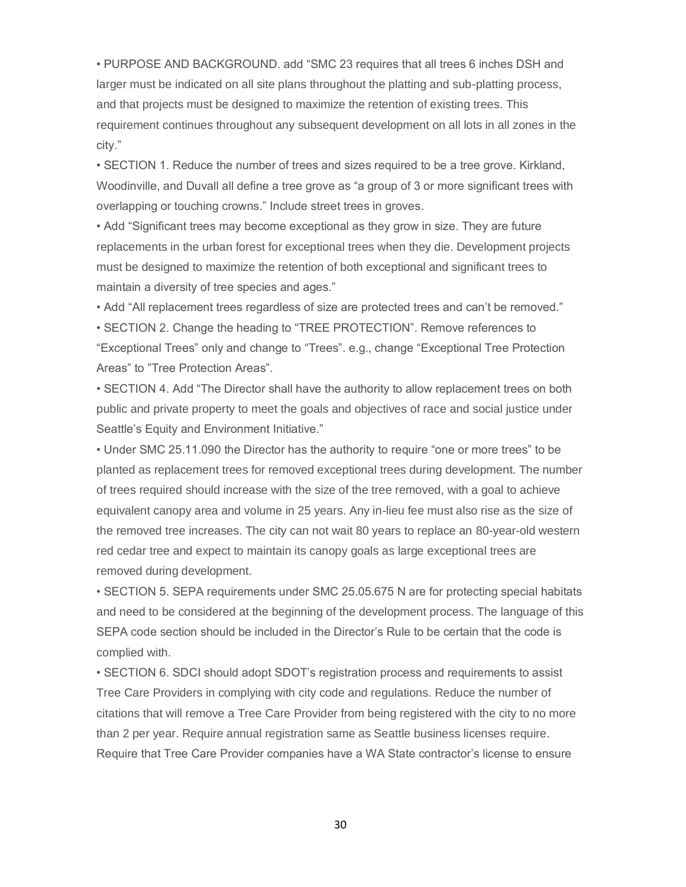• PURPOSE AND BACKGROUND. add "SMC 23 requires that all trees 6 inches DSH and larger must be indicated on all site plans throughout the platting and sub-platting process, and that projects must be designed to maximize the retention of existing trees. This requirement continues throughout any subsequent development on all lots in all zones in the city."

• SECTION 1. Reduce the number of trees and sizes required to be a tree grove. Kirkland, Woodinville, and Duvall all define a tree grove as "a group of 3 or more significant trees with overlapping or touching crowns." Include street trees in groves.

• Add "Significant trees may become exceptional as they grow in size. They are future replacements in the urban forest for exceptional trees when they die. Development projects must be designed to maximize the retention of both exceptional and significant trees to maintain a diversity of tree species and ages."

• Add "All replacement trees regardless of size are protected trees and can't be removed."

• SECTION 2. Change the heading to "TREE PROTECTION". Remove references to "Exceptional Trees" only and change to "Trees". e.g., change "Exceptional Tree Protection Areas" to "Tree Protection Areas".

• SECTION 4. Add "The Director shall have the authority to allow replacement trees on both public and private property to meet the goals and objectives of race and social justice under Seattle's Equity and Environment Initiative."

• Under SMC 25.11.090 the Director has the authority to require "one or more trees" to be planted as replacement trees for removed exceptional trees during development. The number of trees required should increase with the size of the tree removed, with a goal to achieve equivalent canopy area and volume in 25 years. Any in-lieu fee must also rise as the size of the removed tree increases. The city can not wait 80 years to replace an 80-year-old western red cedar tree and expect to maintain its canopy goals as large exceptional trees are removed during development.

• SECTION 5. SEPA requirements under SMC 25.05.675 N are for protecting special habitats and need to be considered at the beginning of the development process. The language of this SEPA code section should be included in the Director's Rule to be certain that the code is complied with.

• SECTION 6. SDCI should adopt SDOT's registration process and requirements to assist Tree Care Providers in complying with city code and regulations. Reduce the number of citations that will remove a Tree Care Provider from being registered with the city to no more than 2 per year. Require annual registration same as Seattle business licenses require. Require that Tree Care Provider companies have a WA State contractor's license to ensure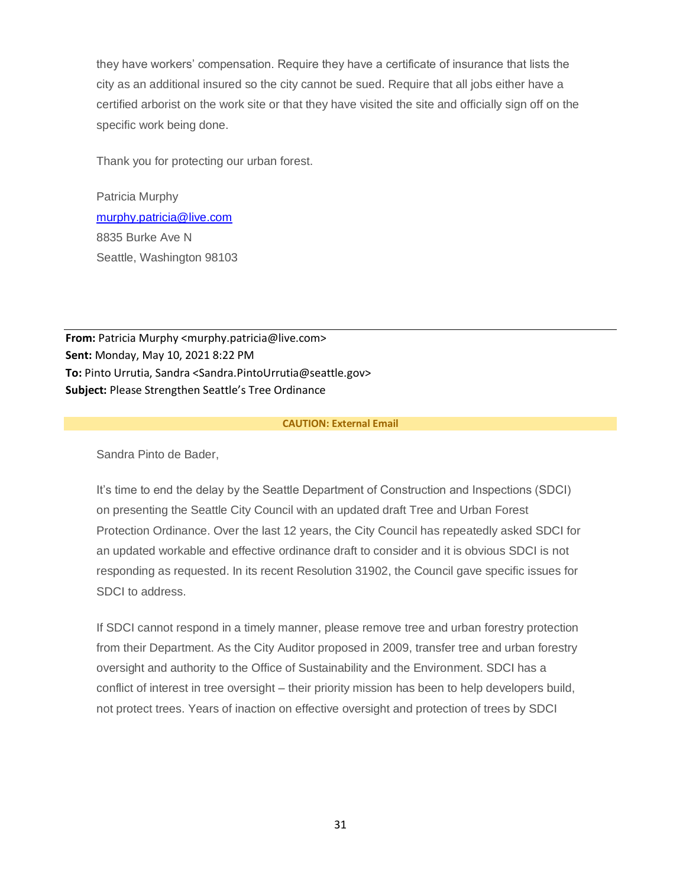they have workers' compensation. Require they have a certificate of insurance that lists the city as an additional insured so the city cannot be sued. Require that all jobs either have a certified arborist on the work site or that they have visited the site and officially sign off on the specific work being done.

Thank you for protecting our urban forest.

Patricia Murphy [murphy.patricia@live.com](mailto:murphy.patricia@live.com) 8835 Burke Ave N Seattle, Washington 98103

**From:** Patricia Murphy <murphy.patricia@live.com> **Sent:** Monday, May 10, 2021 8:22 PM **To:** Pinto Urrutia, Sandra <Sandra.PintoUrrutia@seattle.gov> **Subject:** Please Strengthen Seattle's Tree Ordinance

#### **CAUTION: External Email**

Sandra Pinto de Bader,

It's time to end the delay by the Seattle Department of Construction and Inspections (SDCI) on presenting the Seattle City Council with an updated draft Tree and Urban Forest Protection Ordinance. Over the last 12 years, the City Council has repeatedly asked SDCI for an updated workable and effective ordinance draft to consider and it is obvious SDCI is not responding as requested. In its recent Resolution 31902, the Council gave specific issues for SDCI to address.

If SDCI cannot respond in a timely manner, please remove tree and urban forestry protection from their Department. As the City Auditor proposed in 2009, transfer tree and urban forestry oversight and authority to the Office of Sustainability and the Environment. SDCI has a conflict of interest in tree oversight – their priority mission has been to help developers build, not protect trees. Years of inaction on effective oversight and protection of trees by SDCI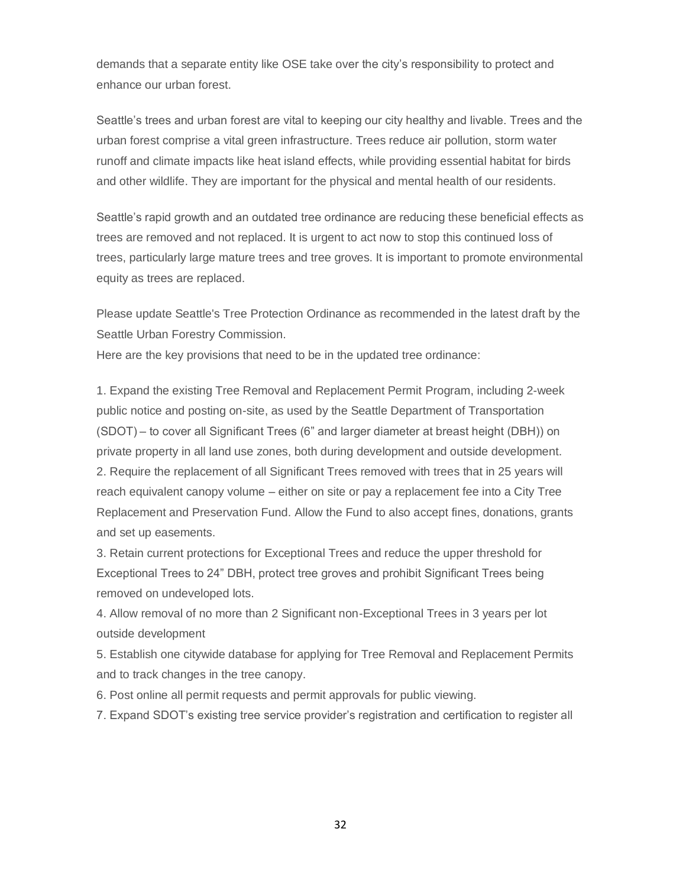demands that a separate entity like OSE take over the city's responsibility to protect and enhance our urban forest.

Seattle's trees and urban forest are vital to keeping our city healthy and livable. Trees and the urban forest comprise a vital green infrastructure. Trees reduce air pollution, storm water runoff and climate impacts like heat island effects, while providing essential habitat for birds and other wildlife. They are important for the physical and mental health of our residents.

Seattle's rapid growth and an outdated tree ordinance are reducing these beneficial effects as trees are removed and not replaced. It is urgent to act now to stop this continued loss of trees, particularly large mature trees and tree groves. It is important to promote environmental equity as trees are replaced.

Please update Seattle's Tree Protection Ordinance as recommended in the latest draft by the Seattle Urban Forestry Commission.

Here are the key provisions that need to be in the updated tree ordinance:

1. Expand the existing Tree Removal and Replacement Permit Program, including 2-week public notice and posting on-site, as used by the Seattle Department of Transportation (SDOT) – to cover all Significant Trees (6" and larger diameter at breast height (DBH)) on private property in all land use zones, both during development and outside development. 2. Require the replacement of all Significant Trees removed with trees that in 25 years will reach equivalent canopy volume – either on site or pay a replacement fee into a City Tree Replacement and Preservation Fund. Allow the Fund to also accept fines, donations, grants and set up easements.

3. Retain current protections for Exceptional Trees and reduce the upper threshold for Exceptional Trees to 24" DBH, protect tree groves and prohibit Significant Trees being removed on undeveloped lots.

4. Allow removal of no more than 2 Significant non-Exceptional Trees in 3 years per lot outside development

5. Establish one citywide database for applying for Tree Removal and Replacement Permits and to track changes in the tree canopy.

6. Post online all permit requests and permit approvals for public viewing.

7. Expand SDOT's existing tree service provider's registration and certification to register all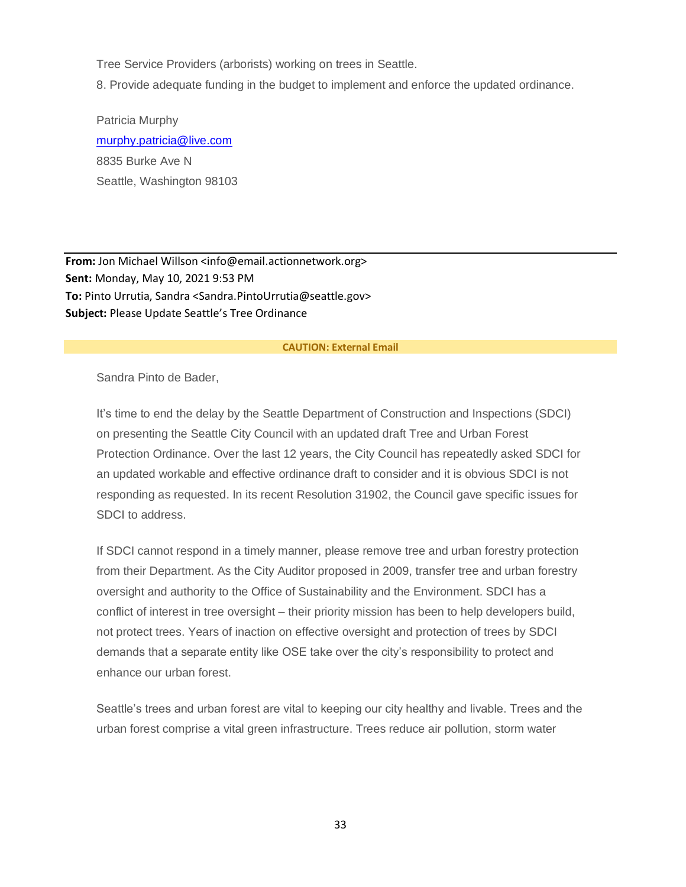Tree Service Providers (arborists) working on trees in Seattle.

8. Provide adequate funding in the budget to implement and enforce the updated ordinance.

Patricia Murphy [murphy.patricia@live.com](mailto:murphy.patricia@live.com) 8835 Burke Ave N Seattle, Washington 98103

**From:** Jon Michael Willson <info@email.actionnetwork.org> **Sent:** Monday, May 10, 2021 9:53 PM **To:** Pinto Urrutia, Sandra <Sandra.PintoUrrutia@seattle.gov> **Subject:** Please Update Seattle's Tree Ordinance

#### **CAUTION: External Email**

Sandra Pinto de Bader,

It's time to end the delay by the Seattle Department of Construction and Inspections (SDCI) on presenting the Seattle City Council with an updated draft Tree and Urban Forest Protection Ordinance. Over the last 12 years, the City Council has repeatedly asked SDCI for an updated workable and effective ordinance draft to consider and it is obvious SDCI is not responding as requested. In its recent Resolution 31902, the Council gave specific issues for SDCI to address.

If SDCI cannot respond in a timely manner, please remove tree and urban forestry protection from their Department. As the City Auditor proposed in 2009, transfer tree and urban forestry oversight and authority to the Office of Sustainability and the Environment. SDCI has a conflict of interest in tree oversight – their priority mission has been to help developers build, not protect trees. Years of inaction on effective oversight and protection of trees by SDCI demands that a separate entity like OSE take over the city's responsibility to protect and enhance our urban forest.

Seattle's trees and urban forest are vital to keeping our city healthy and livable. Trees and the urban forest comprise a vital green infrastructure. Trees reduce air pollution, storm water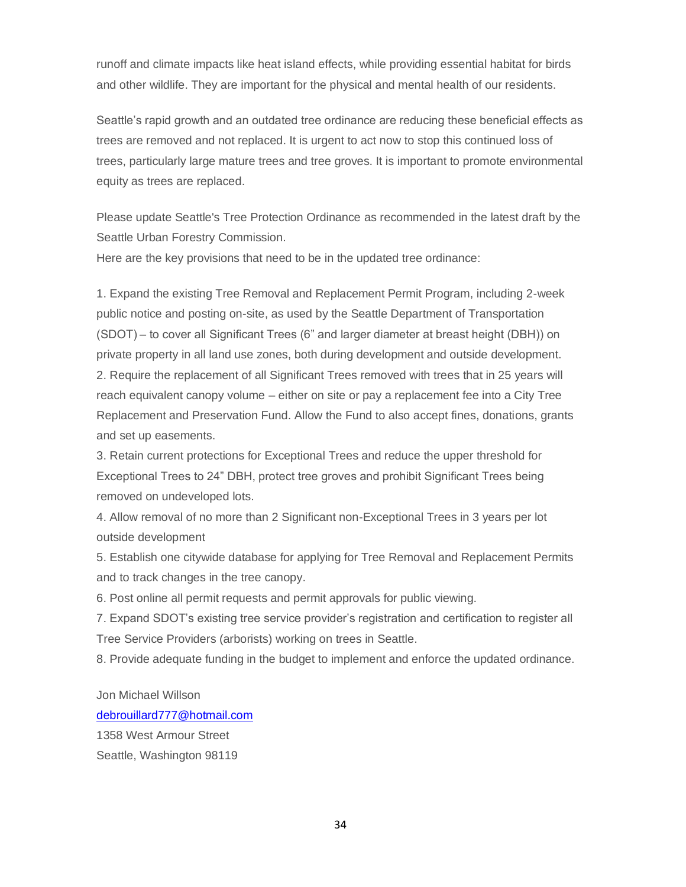runoff and climate impacts like heat island effects, while providing essential habitat for birds and other wildlife. They are important for the physical and mental health of our residents.

Seattle's rapid growth and an outdated tree ordinance are reducing these beneficial effects as trees are removed and not replaced. It is urgent to act now to stop this continued loss of trees, particularly large mature trees and tree groves. It is important to promote environmental equity as trees are replaced.

Please update Seattle's Tree Protection Ordinance as recommended in the latest draft by the Seattle Urban Forestry Commission.

Here are the key provisions that need to be in the updated tree ordinance:

1. Expand the existing Tree Removal and Replacement Permit Program, including 2-week public notice and posting on-site, as used by the Seattle Department of Transportation (SDOT) – to cover all Significant Trees (6" and larger diameter at breast height (DBH)) on private property in all land use zones, both during development and outside development. 2. Require the replacement of all Significant Trees removed with trees that in 25 years will reach equivalent canopy volume – either on site or pay a replacement fee into a City Tree Replacement and Preservation Fund. Allow the Fund to also accept fines, donations, grants and set up easements.

3. Retain current protections for Exceptional Trees and reduce the upper threshold for Exceptional Trees to 24" DBH, protect tree groves and prohibit Significant Trees being removed on undeveloped lots.

4. Allow removal of no more than 2 Significant non-Exceptional Trees in 3 years per lot outside development

5. Establish one citywide database for applying for Tree Removal and Replacement Permits and to track changes in the tree canopy.

6. Post online all permit requests and permit approvals for public viewing.

7. Expand SDOT's existing tree service provider's registration and certification to register all Tree Service Providers (arborists) working on trees in Seattle.

8. Provide adequate funding in the budget to implement and enforce the updated ordinance.

Jon Michael Willson

#### [debrouillard777@hotmail.com](mailto:debrouillard777@hotmail.com)

1358 West Armour Street Seattle, Washington 98119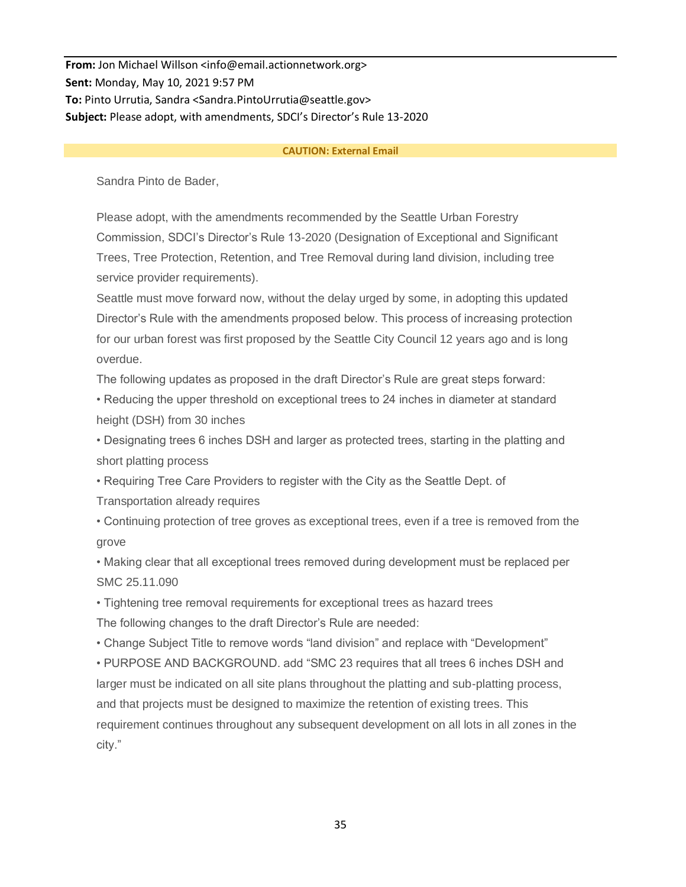**From:** Jon Michael Willson <info@email.actionnetwork.org> **Sent:** Monday, May 10, 2021 9:57 PM **To:** Pinto Urrutia, Sandra <Sandra.PintoUrrutia@seattle.gov> **Subject:** Please adopt, with amendments, SDCI's Director's Rule 13-2020

#### **CAUTION: External Email**

Sandra Pinto de Bader,

Please adopt, with the amendments recommended by the Seattle Urban Forestry Commission, SDCI's Director's Rule 13-2020 (Designation of Exceptional and Significant Trees, Tree Protection, Retention, and Tree Removal during land division, including tree service provider requirements).

Seattle must move forward now, without the delay urged by some, in adopting this updated Director's Rule with the amendments proposed below. This process of increasing protection for our urban forest was first proposed by the Seattle City Council 12 years ago and is long overdue.

The following updates as proposed in the draft Director's Rule are great steps forward:

• Reducing the upper threshold on exceptional trees to 24 inches in diameter at standard height (DSH) from 30 inches

• Designating trees 6 inches DSH and larger as protected trees, starting in the platting and short platting process

• Requiring Tree Care Providers to register with the City as the Seattle Dept. of

Transportation already requires

• Continuing protection of tree groves as exceptional trees, even if a tree is removed from the grove

• Making clear that all exceptional trees removed during development must be replaced per SMC 25.11.090

• Tightening tree removal requirements for exceptional trees as hazard trees

The following changes to the draft Director's Rule are needed:

• Change Subject Title to remove words "land division" and replace with "Development"

• PURPOSE AND BACKGROUND. add "SMC 23 requires that all trees 6 inches DSH and larger must be indicated on all site plans throughout the platting and sub-platting process, and that projects must be designed to maximize the retention of existing trees. This requirement continues throughout any subsequent development on all lots in all zones in the city."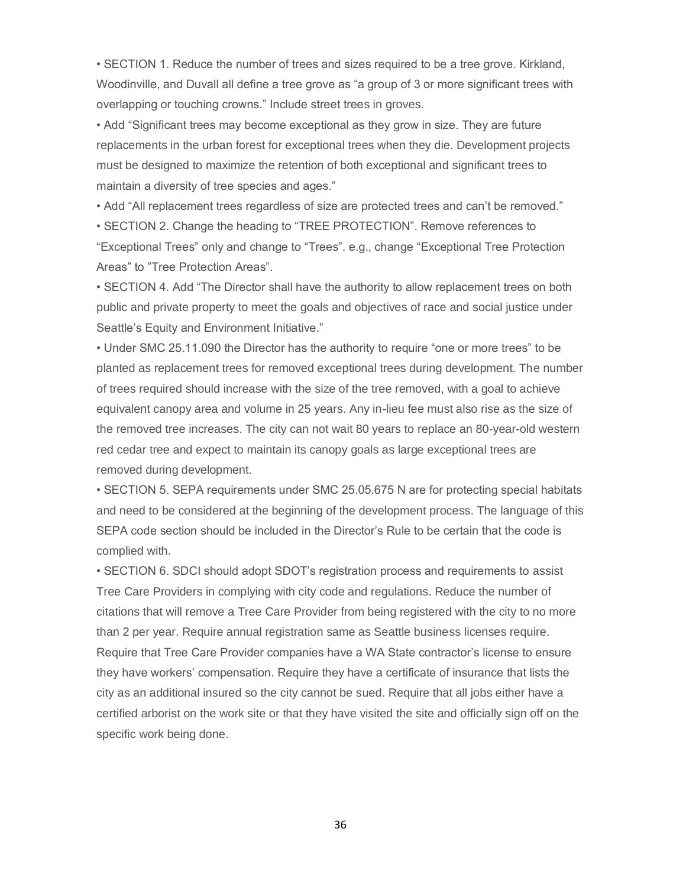• SECTION 1. Reduce the number of trees and sizes required to be a tree grove. Kirkland, Woodinville, and Duvall all define a tree grove as "a group of 3 or more significant trees with overlapping or touching crowns." Include street trees in groves.

• Add "Significant trees may become exceptional as they grow in size. They are future replacements in the urban forest for exceptional trees when they die. Development projects must be designed to maximize the retention of both exceptional and significant trees to maintain a diversity of tree species and ages."

• Add "All replacement trees regardless of size are protected trees and can't be removed."

• SECTION 2. Change the heading to "TREE PROTECTION". Remove references to "Exceptional Trees" only and change to "Trees". e.g., change "Exceptional Tree Protection Areas" to "Tree Protection Areas".

• SECTION 4. Add "The Director shall have the authority to allow replacement trees on both public and private property to meet the goals and objectives of race and social justice under Seattle's Equity and Environment Initiative."

• Under SMC 25.11.090 the Director has the authority to require "one or more trees" to be planted as replacement trees for removed exceptional trees during development. The number of trees required should increase with the size of the tree removed, with a goal to achieve equivalent canopy area and volume in 25 years. Any in-lieu fee must also rise as the size of the removed tree increases. The city can not wait 80 years to replace an 80-year-old western red cedar tree and expect to maintain its canopy goals as large exceptional trees are removed during development.

• SECTION 5. SEPA requirements under SMC 25.05.675 N are for protecting special habitats and need to be considered at the beginning of the development process. The language of this SEPA code section should be included in the Director's Rule to be certain that the code is complied with.

• SECTION 6. SDCI should adopt SDOT's registration process and requirements to assist Tree Care Providers in complying with city code and regulations. Reduce the number of citations that will remove a Tree Care Provider from being registered with the city to no more than 2 per year. Require annual registration same as Seattle business licenses require. Require that Tree Care Provider companies have a WA State contractor's license to ensure they have workers' compensation. Require they have a certificate of insurance that lists the city as an additional insured so the city cannot be sued. Require that all jobs either have a certified arborist on the work site or that they have visited the site and officially sign off on the specific work being done.